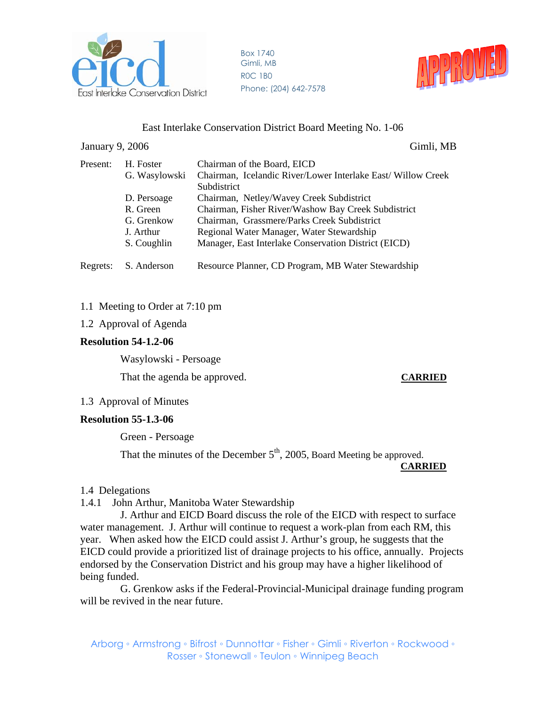

Box 1740 Gimli, MB R0C 1B0 Phone: (204) 642-7578



## East Interlake Conservation District Board Meeting No. 1-06

#### January 9, 2006 Gimli, MB

| Present: | H. Foster     | Chairman of the Board, EICD                                  |
|----------|---------------|--------------------------------------------------------------|
|          | G. Wasylowski | Chairman, Icelandic River/Lower Interlake East/ Willow Creek |
|          |               | Subdistrict                                                  |
|          | D. Persoage   | Chairman, Netley/Wavey Creek Subdistrict                     |
|          | R. Green      | Chairman, Fisher River/Washow Bay Creek Subdistrict          |
|          | G. Grenkow    | Chairman, Grassmere/Parks Creek Subdistrict                  |
|          | J. Arthur     | Regional Water Manager, Water Stewardship                    |
|          | S. Coughlin   | Manager, East Interlake Conservation District (EICD)         |
| Regrets: | S. Anderson   | Resource Planner, CD Program, MB Water Stewardship           |

## 1.1 Meeting to Order at 7:10 pm

## 1.2 Approval of Agenda

## **Resolution 54-1.2-06**

Wasylowski - Persoage

That the agenda be approved. **CARRIED** 

## 1.3 Approval of Minutes

## **Resolution 55-1.3-06**

Green - Persoage

That the minutes of the December  $5<sup>th</sup>$ , 2005, Board Meeting be approved. **CARRIED**

# 1.4 Delegations

1.4.1 John Arthur, Manitoba Water Stewardship

 J. Arthur and EICD Board discuss the role of the EICD with respect to surface water management. J. Arthur will continue to request a work-plan from each RM, this year. When asked how the EICD could assist J. Arthur's group, he suggests that the EICD could provide a prioritized list of drainage projects to his office, annually. Projects endorsed by the Conservation District and his group may have a higher likelihood of being funded.

 G. Grenkow asks if the Federal-Provincial-Municipal drainage funding program will be revived in the near future.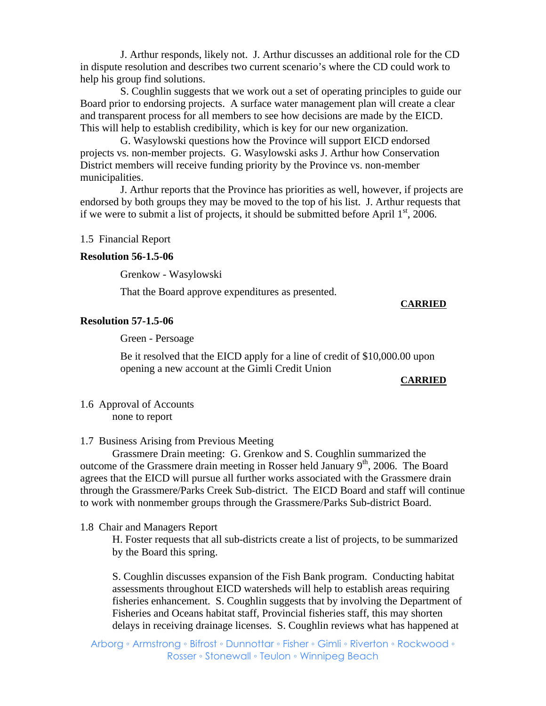J. Arthur responds, likely not. J. Arthur discusses an additional role for the CD in dispute resolution and describes two current scenario's where the CD could work to help his group find solutions.

 S. Coughlin suggests that we work out a set of operating principles to guide our Board prior to endorsing projects. A surface water management plan will create a clear and transparent process for all members to see how decisions are made by the EICD. This will help to establish credibility, which is key for our new organization.

 G. Wasylowski questions how the Province will support EICD endorsed projects vs. non-member projects. G. Wasylowski asks J. Arthur how Conservation District members will receive funding priority by the Province vs. non-member municipalities.

 J. Arthur reports that the Province has priorities as well, however, if projects are endorsed by both groups they may be moved to the top of his list. J. Arthur requests that if we were to submit a list of projects, it should be submitted before April  $1<sup>st</sup>$ , 2006.

#### 1.5 Financial Report

#### **Resolution 56-1.5-06**

Grenkow - Wasylowski

That the Board approve expenditures as presented.

#### **CARRIED**

#### **Resolution 57-1.5-06**

Green - Persoage

 Be it resolved that the EICD apply for a line of credit of \$10,000.00 upon opening a new account at the Gimli Credit Union

#### **CARRIED**

1.6 Approval of Accounts none to report

1.7 Business Arising from Previous Meeting

 Grassmere Drain meeting: G. Grenkow and S. Coughlin summarized the outcome of the Grassmere drain meeting in Rosser held January  $9<sup>th</sup>$ , 2006. The Board agrees that the EICD will pursue all further works associated with the Grassmere drain through the Grassmere/Parks Creek Sub-district. The EICD Board and staff will continue to work with nonmember groups through the Grassmere/Parks Sub-district Board.

#### 1.8 Chair and Managers Report

H. Foster requests that all sub-districts create a list of projects, to be summarized by the Board this spring.

 S. Coughlin discusses expansion of the Fish Bank program. Conducting habitat assessments throughout EICD watersheds will help to establish areas requiring fisheries enhancement. S. Coughlin suggests that by involving the Department of Fisheries and Oceans habitat staff, Provincial fisheries staff, this may shorten delays in receiving drainage licenses. S. Coughlin reviews what has happened at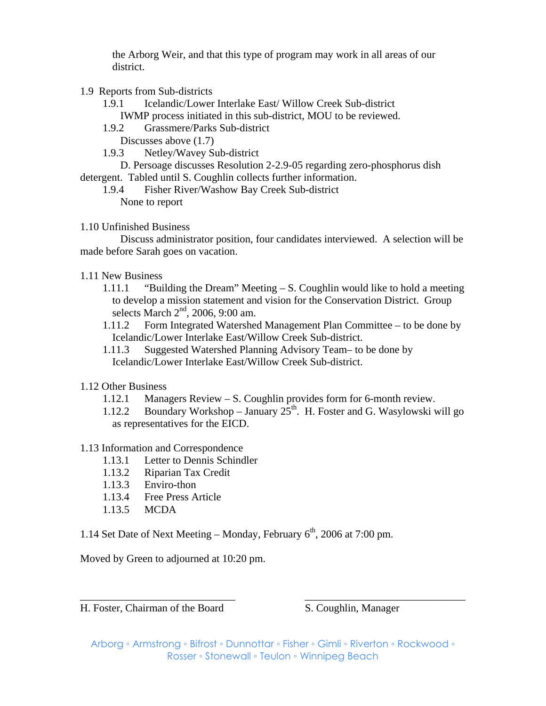the Arborg Weir, and that this type of program may work in all areas of our district.

- 1.9 Reports from Sub-districts
	- 1.9.1 Icelandic/Lower Interlake East/ Willow Creek Sub-district IWMP process initiated in this sub-district, MOU to be reviewed.
	- 1.9.2 Grassmere/Parks Sub-district
		- Discusses above (1.7)
	- 1.9.3 Netley/Wavey Sub-district

 D. Persoage discusses Resolution 2-2.9-05 regarding zero-phosphorus dish detergent. Tabled until S. Coughlin collects further information.

- 1.9.4 Fisher River/Washow Bay Creek Sub-district None to report
- 1.10 Unfinished Business

 Discuss administrator position, four candidates interviewed. A selection will be made before Sarah goes on vacation.

- 1.11 New Business
	- 1.11.1 "Building the Dream" Meeting  $-S$ . Coughlin would like to hold a meeting to develop a mission statement and vision for the Conservation District. Group selects March 2<sup>nd</sup>, 2006, 9:00 am.
	- 1.11.2 Form Integrated Watershed Management Plan Committee to be done by Icelandic/Lower Interlake East/Willow Creek Sub-district.
	- 1.11.3 Suggested Watershed Planning Advisory Team– to be done by Icelandic/Lower Interlake East/Willow Creek Sub-district.
- 1.12 Other Business
	- 1.12.1 Managers Review S. Coughlin provides form for 6-month review.
	- 1.12.2 Boundary Workshop January  $25<sup>th</sup>$ . H. Foster and G. Wasylowski will go as representatives for the EICD.

## 1.13 Information and Correspondence

- 1.13.1 Letter to Dennis Schindler
- 1.13.2 Riparian Tax Credit
- 1.13.3 Enviro-thon
- 1.13.4 Free Press Article
- 1.13.5 MCDA

1.14 Set Date of Next Meeting – Monday, February  $6<sup>th</sup>$ , 2006 at 7:00 pm.

Moved by Green to adjourned at 10:20 pm.

H. Foster, Chairman of the Board S. Coughlin, Manager

Arborg ◦ Armstrong ◦ Bifrost ◦ Dunnottar ◦ Fisher ◦ Gimli ◦ Riverton ◦ Rockwood ◦ Rosser ◦ Stonewall ◦ Teulon ◦ Winnipeg Beach

\_\_\_\_\_\_\_\_\_\_\_\_\_\_\_\_\_\_\_\_\_\_\_\_\_\_\_\_\_ \_\_\_\_\_\_\_\_\_\_\_\_\_\_\_\_\_\_\_\_\_\_\_\_\_\_\_\_\_\_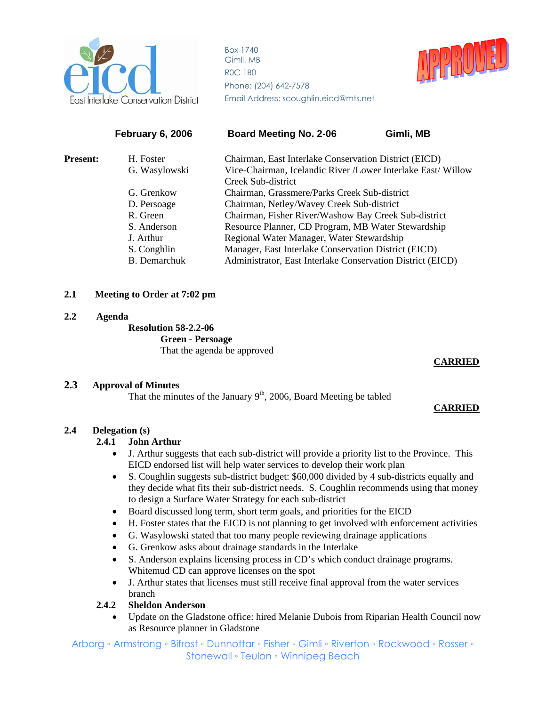

Box 1740 Gimli, MB R0C 1B0 Phone: (204) 642-7578 East Interlake Conservation District Email Address: scoughlin.eicd@mts.net



|                 | <b>February 6, 2006</b> | <b>Board Meeting No. 2-06</b>                                | Gimli, MB |
|-----------------|-------------------------|--------------------------------------------------------------|-----------|
| <b>Present:</b> | H. Foster               | Chairman, East Interlake Conservation District (EICD)        |           |
|                 | G. Wasylowski           | Vice-Chairman, Icelandic River /Lower Interlake East/ Willow |           |
|                 |                         | Creek Sub-district                                           |           |
|                 | G. Grenkow              | Chairman, Grassmere/Parks Creek Sub-district                 |           |
|                 | D. Persoage             | Chairman, Netley/Wavey Creek Sub-district                    |           |
|                 | R. Green                | Chairman, Fisher River/Washow Bay Creek Sub-district         |           |
|                 | S. Anderson             | Resource Planner, CD Program, MB Water Stewardship           |           |
|                 | J. Arthur               | Regional Water Manager, Water Stewardship                    |           |
|                 | S. Conghlin             | Manager, East Interlake Conservation District (EICD)         |           |
|                 | <b>B.</b> Demarchuk     | Administrator, East Interlake Conservation District (EICD)   |           |
|                 |                         |                                                              |           |

## **2.1 Meeting to Order at 7:02 pm**

#### **2.2 Agenda**

 **Resolution 58-2.2-06 Green - Persoage**

That the agenda be approved

#### **CARRIED**

#### **2.3 Approval of Minutes**

That the minutes of the January  $9<sup>th</sup>$ , 2006, Board Meeting be tabled

#### **CARRIED**

#### **2.4 Delegation (s)**

#### **2.4.1 John Arthur**

- J. Arthur suggests that each sub-district will provide a priority list to the Province. This EICD endorsed list will help water services to develop their work plan
- S. Coughlin suggests sub-district budget: \$60,000 divided by 4 sub-districts equally and they decide what fits their sub-district needs. S. Coughlin recommends using that money to design a Surface Water Strategy for each sub-district
- Board discussed long term, short term goals, and priorities for the EICD
- H. Foster states that the EICD is not planning to get involved with enforcement activities
- G. Wasylowski stated that too many people reviewing drainage applications
- G. Grenkow asks about drainage standards in the Interlake
- S. Anderson explains licensing process in CD's which conduct drainage programs. Whitemud CD can approve licenses on the spot
- J. Arthur states that licenses must still receive final approval from the water services branch

#### **2.4.2 Sheldon Anderson**

• Update on the Gladstone office: hired Melanie Dubois from Riparian Health Council now as Resource planner in Gladstone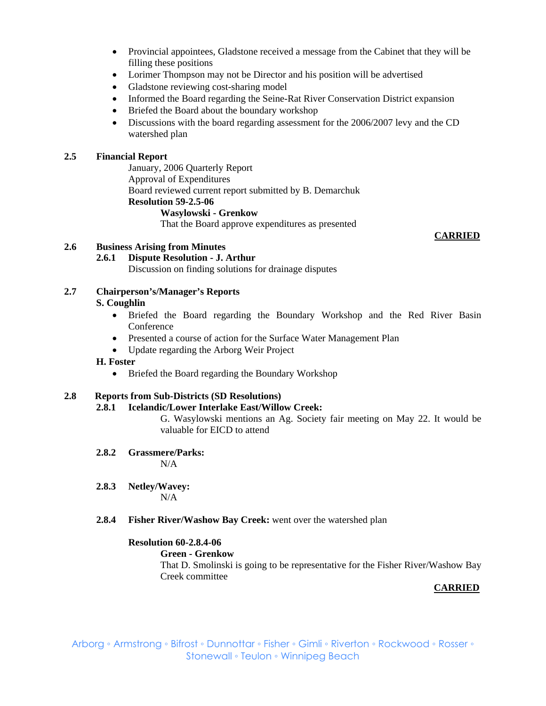- Provincial appointees, Gladstone received a message from the Cabinet that they will be filling these positions
- Lorimer Thompson may not be Director and his position will be advertised
- Gladstone reviewing cost-sharing model
- Informed the Board regarding the Seine-Rat River Conservation District expansion
- Briefed the Board about the boundary workshop
- Discussions with the board regarding assessment for the 2006/2007 levy and the CD watershed plan

## **2.5 Financial Report**

January, 2006 Quarterly Report Approval of Expenditures Board reviewed current report submitted by B. Demarchuk **Resolution 59-2.5-06 Wasylowski - Grenkow**

That the Board approve expenditures as presented

## **2.6 Business Arising from Minutes**

**2.6.1 Dispute Resolution - J. Arthur** 

Discussion on finding solutions for drainage disputes

# **2.7 Chairperson's/Manager's Reports**

## **S. Coughlin**

- Briefed the Board regarding the Boundary Workshop and the Red River Basin Conference
- Presented a course of action for the Surface Water Management Plan
- Update regarding the Arborg Weir Project

#### **H. Foster**

• Briefed the Board regarding the Boundary Workshop

#### **2.8 Reports from Sub-Districts (SD Resolutions)**

**2.8.1 Icelandic/Lower Interlake East/Willow Creek:** 

G. Wasylowski mentions an Ag. Society fair meeting on May 22. It would be valuable for EICD to attend

**2.8.2 Grassmere/Parks:** 

 $N/A$ 

- **2.8.3 Netley/Wavey:**  N/A
- **2.8.4 Fisher River/Washow Bay Creek:** went over the watershed plan

#### **Resolution 60-2.8.4-06**

#### **Green - Grenkow**

 That D. Smolinski is going to be representative for the Fisher River/Washow Bay Creek committee

#### **CARRIED**

#### **CARRIED**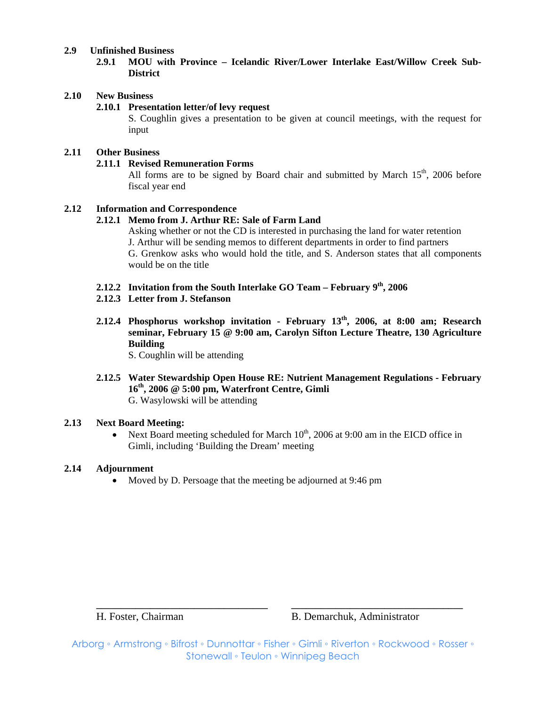#### **2.9 Unfinished Business**

**2.9.1 MOU with Province – Icelandic River/Lower Interlake East/Willow Creek Sub-District**

#### **2.10 New Business**

#### **2.10.1 Presentation letter/of levy request**

S. Coughlin gives a presentation to be given at council meetings, with the request for input

#### **2.11 Other Business**

#### **2.11.1 Revised Remuneration Forms**

All forms are to be signed by Board chair and submitted by March  $15<sup>th</sup>$ , 2006 before fiscal year end

#### **2.12 Information and Correspondence**

#### **2.12.1 Memo from J. Arthur RE: Sale of Farm Land**

Asking whether or not the CD is interested in purchasing the land for water retention J. Arthur will be sending memos to different departments in order to find partners G. Grenkow asks who would hold the title, and S. Anderson states that all components would be on the title

# **2.12.2 Invitation from the South Interlake GO Team – February 9th, 2006**

#### **2.12.3 Letter from J. Stefanson**

 **2.12.4 Phosphorus workshop invitation - February 13th, 2006, at 8:00 am; Research seminar, February 15 @ 9:00 am, Carolyn Sifton Lecture Theatre, 130 Agriculture Building** 

S. Coughlin will be attending

 **2.12.5 Water Stewardship Open House RE: Nutrient Management Regulations - February 16th, 2006 @ 5:00 pm, Waterfront Centre, Gimli** G. Wasylowski will be attending

#### **2.13 Next Board Meeting:**

• Next Board meeting scheduled for March  $10^{th}$ , 2006 at 9:00 am in the EICD office in Gimli, including 'Building the Dream' meeting

#### **2.14 Adjournment**

• Moved by D. Persoage that the meeting be adjourned at 9:46 pm

H. Foster, Chairman B. Demarchuk, Administrator

Arborg ◦ Armstrong ◦ Bifrost ◦ Dunnottar ◦ Fisher ◦ Gimli ◦ Riverton ◦ Rockwood ◦ Rosser ◦ Stonewall ◦ Teulon ◦ Winnipeg Beach

**\_\_\_\_\_\_\_\_\_\_\_\_\_\_\_\_\_\_\_\_\_\_\_\_\_\_\_\_\_\_\_\_\_\_\_ \_\_\_\_\_\_\_\_\_\_\_\_\_\_\_\_\_\_\_\_\_\_\_\_\_\_\_\_\_\_\_\_\_\_\_**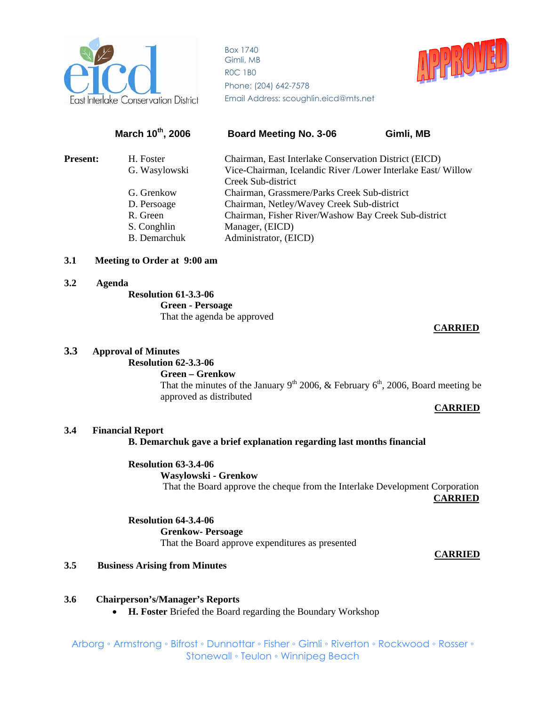

Box 1740 Gimli, MB R0C 1B0 Phone: (204) 642-7578 East Interlake Conservation District Email Address: scoughlin.eicd@mts.net



# March 10<sup>th</sup>, 2006 Board Meeting No. 3-06 Gimli, MB **Present:** H. Foster Chairman, East Interlake Conservation District (EICD) G. Wasylowski Vice-Chairman, Icelandic River /Lower Interlake East/ Willow Creek Sub-district G. Grenkow Chairman, Grassmere/Parks Creek Sub-district D. Persoage Chairman, Netley/Wavey Creek Sub-district R. Green Chairman, Fisher River/Washow Bay Creek Sub-district S. Conghlin Manager, (EICD) B. Demarchuk Administrator, (EICD)

#### **3.1 Meeting to Order at 9:00 am**

#### **3.2 Agenda**

# **Resolution 61-3.3-06**

 **Green - Persoage**

That the agenda be approved

#### **CARRIED**

#### **3.3 Approval of Minutes**

# **Resolution 62-3.3-06**

 **Green – Grenkow**  That the minutes of the January 9<sup>th</sup> 2006, & February 6<sup>th</sup>, 2006, Board meeting be approved as distributed

#### **CARRIED**

#### **3.4 Financial Report**

#### **B. Demarchuk gave a brief explanation regarding last months financial**

**Resolution 63-3.4-06 Wasylowski - Grenkow** That the Board approve the cheque from the Interlake Development Corporation

**CARRIED**

**Resolution 64-3.4-06 Grenkow- Persoage** That the Board approve expenditures as presented

#### **CARRIED**

## **3.5 Business Arising from Minutes**

- **3.6 Chairperson's/Manager's Reports** 
	- **H. Foster** Briefed the Board regarding the Boundary Workshop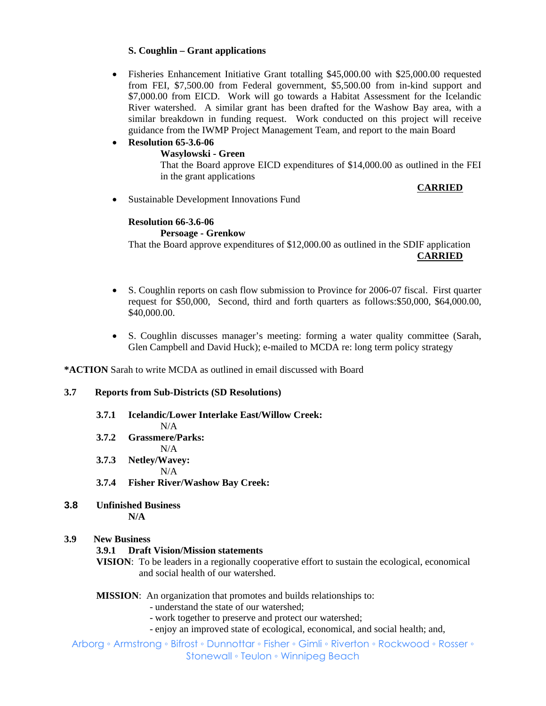## **S. Coughlin – Grant applications**

- Fisheries Enhancement Initiative Grant totalling \$45,000.00 with \$25,000.00 requested from FEI, \$7,500.00 from Federal government, \$5,500.00 from in-kind support and \$7,000.00 from EICD. Work will go towards a Habitat Assessment for the Icelandic River watershed. A similar grant has been drafted for the Washow Bay area, with a similar breakdown in funding request. Work conducted on this project will receive guidance from the IWMP Project Management Team, and report to the main Board
- **Resolution 65-3.6-06 Wasylowski - Green**  That the Board approve EICD expenditures of \$14,000.00 as outlined in the FEI in the grant applications

**CARRIED**

• Sustainable Development Innovations Fund

# **Resolution 66-3.6-06**

#### **Persoage - Grenkow**

That the Board approve expenditures of \$12,000.00 as outlined in the SDIF application **CARRIED**

- S. Coughlin reports on cash flow submission to Province for 2006-07 fiscal. First quarter request for \$50,000, Second, third and forth quarters as follows:\$50,000, \$64,000.00, \$40,000.00.
- S. Coughlin discusses manager's meeting: forming a water quality committee (Sarah, Glen Campbell and David Huck); e-mailed to MCDA re: long term policy strategy

**\*ACTION** Sarah to write MCDA as outlined in email discussed with Board

#### **3.7 Reports from Sub-Districts (SD Resolutions)**

## **3.7.1 Icelandic/Lower Interlake East/Willow Creek:**

N/A

- **3.7.2 Grassmere/Parks:**  N/A
- **3.7.3 Netley/Wavey:**  N/A
- **3.7.4 Fisher River/Washow Bay Creek:**
- **3.8 Unfinished Business N/A**

#### **3.9 New Business**

## **3.9.1 Draft Vision/Mission statements**

**VISION**: To be leaders in a regionally cooperative effort to sustain the ecological, economical and social health of our watershed.

#### **MISSION:** An organization that promotes and builds relationships to:

- understand the state of our watershed;
- work together to preserve and protect our watershed;
- enjoy an improved state of ecological, economical, and social health; and,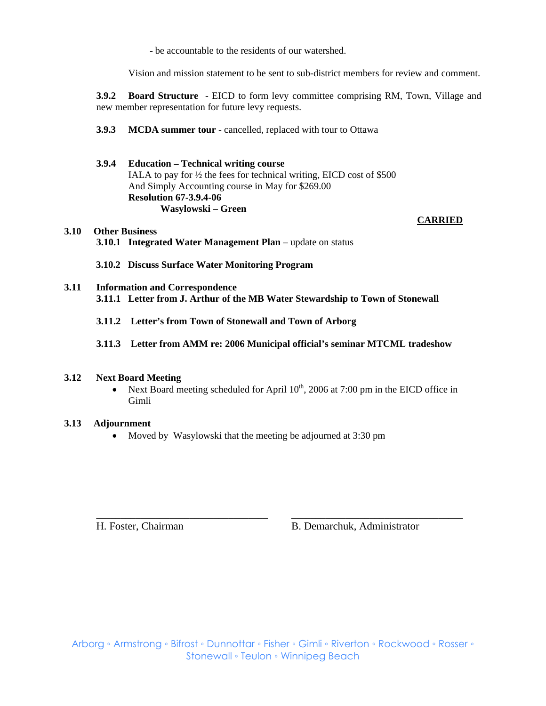- be accountable to the residents of our watershed.

Vision and mission statement to be sent to sub-district members for review and comment.

**3.9.2 Board Structure** - EICD to form levy committee comprising RM, Town, Village and new member representation for future levy requests.

**3.9.3 MCDA summer tour** - cancelled, replaced with tour to Ottawa

## **3.9.4 Education – Technical writing course**  IALA to pay for ½ the fees for technical writing, EICD cost of \$500 And Simply Accounting course in May for \$269.00 **Resolution 67-3.9.4-06 Wasylowski – Green**

# **3.10 Other Business 3.10.1 Integrated Water Management Plan** – update on status

**3.10.2 Discuss Surface Water Monitoring Program** 

## **3.11 Information and Correspondence 3.11.1 Letter from J. Arthur of the MB Water Stewardship to Town of Stonewall**

- **3.11.2 Letter's from Town of Stonewall and Town of Arborg**
- **3.11.3 Letter from AMM re: 2006 Municipal official's seminar MTCML tradeshow**

#### **3.12 Next Board Meeting**

• Next Board meeting scheduled for April  $10^{th}$ , 2006 at 7:00 pm in the EICD office in Gimli

**\_\_\_\_\_\_\_\_\_\_\_\_\_\_\_\_\_\_\_\_\_\_\_\_\_\_\_\_\_\_\_\_\_\_\_ \_\_\_\_\_\_\_\_\_\_\_\_\_\_\_\_\_\_\_\_\_\_\_\_\_\_\_\_\_\_\_\_\_\_\_**

#### **3.13 Adjournment**

• Moved by Wasylowski that the meeting be adjourned at 3:30 pm

H. Foster, Chairman B. Demarchuk, Administrator

 **CARRIED**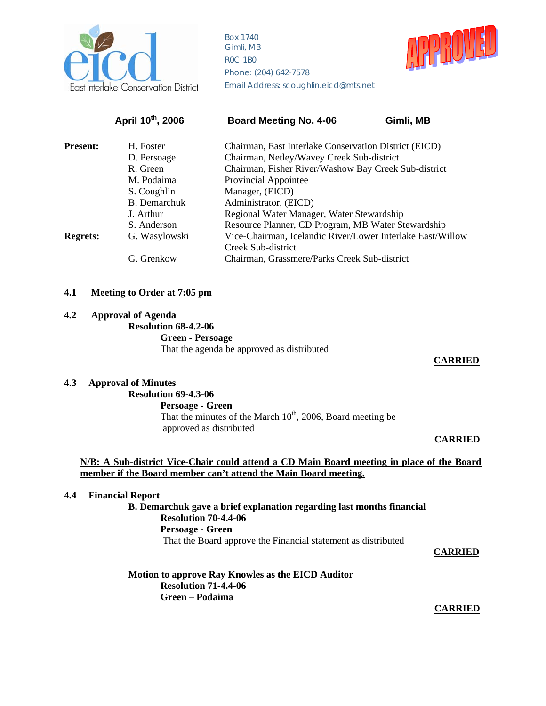

Box 1740 Gimli, MB R0C 1B0 Phone: (204) 642-7578 nterlake Conservation District Email Address: scoughlin.eicd@mts.net



|                 | April 10th, 2006 | <b>Board Meeting No. 4-06</b>                              | Gimli, MB |
|-----------------|------------------|------------------------------------------------------------|-----------|
| <b>Present:</b> | H. Foster        | Chairman, East Interlake Conservation District (EICD)      |           |
|                 | D. Persoage      | Chairman, Netley/Wavey Creek Sub-district                  |           |
|                 | R. Green         | Chairman, Fisher River/Washow Bay Creek Sub-district       |           |
|                 | M. Podaima       | Provincial Appointee                                       |           |
|                 | S. Coughlin      | Manager, (EICD)                                            |           |
|                 | B. Demarchuk     | Administrator, (EICD)                                      |           |
|                 | J. Arthur        | Regional Water Manager, Water Stewardship                  |           |
|                 | S. Anderson      | Resource Planner, CD Program, MB Water Stewardship         |           |
| <b>Regrets:</b> | G. Wasylowski    | Vice-Chairman, Icelandic River/Lower Interlake East/Willow |           |
|                 |                  | Creek Sub-district                                         |           |
|                 | G. Grenkow       | Chairman, Grassmere/Parks Creek Sub-district               |           |
|                 |                  |                                                            |           |

#### **4.1 Meeting to Order at 7:05 pm**

#### **4.2 Approval of Agenda**

 **Resolution 68-4.2-06**

 **Green - Persoage** That the agenda be approved as distributed

#### **CARRIED**

# **4.3 Approval of Minutes**

# **Resolution 69-4.3-06**

 **Persoage - Green**  That the minutes of the March  $10^{th}$ , 2006, Board meeting be approved as distributed

#### **CARRIED**

#### **N/B: A Sub-district Vice-Chair could attend a CD Main Board meeting in place of the Board member if the Board member can't attend the Main Board meeting.**

#### **4.4 Financial Report**

**B. Demarchuk gave a brief explanation regarding last months financial Resolution 70-4.4-06 Persoage - Green** That the Board approve the Financial statement as distributed

**CARRIED**

**Motion to approve Ray Knowles as the EICD Auditor Resolution 71-4.4-06 Green – Podaima** 

 **CARRIED**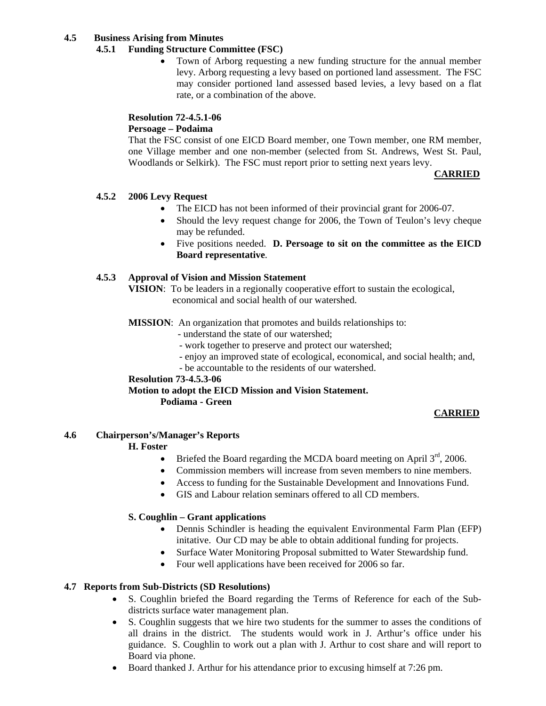#### **4.5 Business Arising from Minutes**

## **4.5.1 Funding Structure Committee (FSC)**

• Town of Arborg requesting a new funding structure for the annual member levy. Arborg requesting a levy based on portioned land assessment. The FSC may consider portioned land assessed based levies, a levy based on a flat rate, or a combination of the above.

## **Resolution 72-4.5.1-06**

#### **Persoage – Podaima**

That the FSC consist of one EICD Board member, one Town member, one RM member, one Village member and one non-member (selected from St. Andrews, West St. Paul, Woodlands or Selkirk). The FSC must report prior to setting next years levy.

#### **CARRIED**

## **4.5.2 2006 Levy Request**

- The EICD has not been informed of their provincial grant for 2006-07.
- Should the levy request change for 2006, the Town of Teulon's levy cheque may be refunded.
- Five positions needed. **D. Persoage to sit on the committee as the EICD Board representative**.

## **4.5.3 Approval of Vision and Mission Statement**

**VISION**: To be leaders in a regionally cooperative effort to sustain the ecological, economical and social health of our watershed.

- **MISSION**: An organization that promotes and builds relationships to:
	- understand the state of our watershed;
	- work together to preserve and protect our watershed;
	- enjoy an improved state of ecological, economical, and social health; and,
	- be accountable to the residents of our watershed.

#### **Resolution 73-4.5.3-06**

## **Motion to adopt the EICD Mission and Vision Statement.**

 **Podiama - Green** 

## **CARRIED**

#### **4.6 Chairperson's/Manager's Reports**

## **H. Foster**

- Briefed the Board regarding the MCDA board meeting on April  $3<sup>rd</sup>$ , 2006.
- Commission members will increase from seven members to nine members.
- Access to funding for the Sustainable Development and Innovations Fund.
- GIS and Labour relation seminars offered to all CD members.

#### **S. Coughlin – Grant applications**

- Dennis Schindler is heading the equivalent Environmental Farm Plan (EFP) initative. Our CD may be able to obtain additional funding for projects.
- Surface Water Monitoring Proposal submitted to Water Stewardship fund.
- Four well applications have been received for 2006 so far.

## **4.7 Reports from Sub-Districts (SD Resolutions)**

- S. Coughlin briefed the Board regarding the Terms of Reference for each of the Subdistricts surface water management plan.
- S. Coughlin suggests that we hire two students for the summer to asses the conditions of all drains in the district. The students would work in J. Arthur's office under his guidance. S. Coughlin to work out a plan with J. Arthur to cost share and will report to Board via phone.
- Board thanked J. Arthur for his attendance prior to excusing himself at 7:26 pm.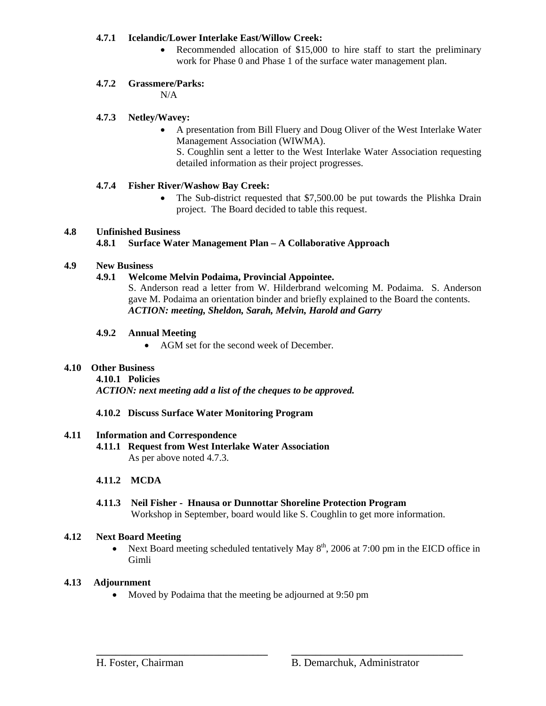## **4.7.1 Icelandic/Lower Interlake East/Willow Creek:**

• Recommended allocation of \$15,000 to hire staff to start the preliminary work for Phase 0 and Phase 1 of the surface water management plan.

## **4.7.2 Grassmere/Parks:**

N/A

## **4.7.3 Netley/Wavey:**

• A presentation from Bill Fluery and Doug Oliver of the West Interlake Water Management Association (WIWMA).

S. Coughlin sent a letter to the West Interlake Water Association requesting detailed information as their project progresses.

## **4.7.4 Fisher River/Washow Bay Creek:**

• The Sub-district requested that \$7,500.00 be put towards the Plishka Drain project. The Board decided to table this request.

## **4.8 Unfinished Business**

## **4.8.1 Surface Water Management Plan – A Collaborative Approach**

## **4.9 New Business**

## **4.9.1 Welcome Melvin Podaima, Provincial Appointee.**

S. Anderson read a letter from W. Hilderbrand welcoming M. Podaima. S. Anderson gave M. Podaima an orientation binder and briefly explained to the Board the contents. *ACTION: meeting, Sheldon, Sarah, Melvin, Harold and Garry* 

## **4.9.2 Annual Meeting**

• AGM set for the second week of December.

## **4.10 Other Business**

 **4.10.1 Policies** 

*ACTION: next meeting add a list of the cheques to be approved.* 

## **4.10.2 Discuss Surface Water Monitoring Program**

## **4.11 Information and Correspondence**

 **4.11.1 Request from West Interlake Water Association**  As per above noted 4.7.3.

## **4.11.2 MCDA**

**4.11.3 Neil Fisher - Hnausa or Dunnottar Shoreline Protection Program**  Workshop in September, board would like S. Coughlin to get more information.

## **4.12 Next Board Meeting**

• Next Board meeting scheduled tentatively May  $8<sup>th</sup>$ , 2006 at 7:00 pm in the EICD office in Gimli

**\_\_\_\_\_\_\_\_\_\_\_\_\_\_\_\_\_\_\_\_\_\_\_\_\_\_\_\_\_\_\_\_\_\_\_ \_\_\_\_\_\_\_\_\_\_\_\_\_\_\_\_\_\_\_\_\_\_\_\_\_\_\_\_\_\_\_\_\_\_\_**

## **4.13 Adjournment**

• Moved by Podaima that the meeting be adjourned at 9:50 pm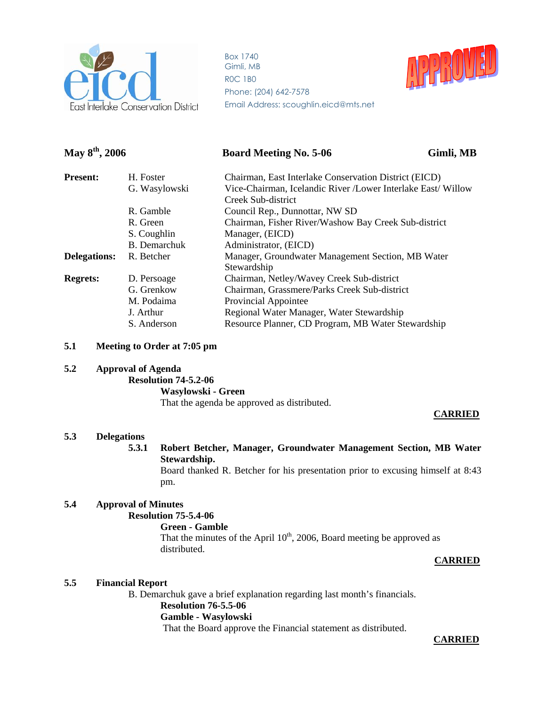

Box 1740 Gimli, MB R0C 1B0 Phone: (204) 642-7578 Email Address: scoughlin.eicd@mts.net



# **May 8th, 2006 Board Meeting No. 5-06 Gimli, MB**

| H. Foster     | Chairman, East Interlake Conservation District (EICD)        |
|---------------|--------------------------------------------------------------|
| G. Wasylowski | Vice-Chairman, Icelandic River /Lower Interlake East/ Willow |
|               | Creek Sub-district                                           |
| R. Gamble     | Council Rep., Dunnottar, NW SD                               |
| R. Green      | Chairman, Fisher River/Washow Bay Creek Sub-district         |
| S. Coughlin   | Manager, (EICD)                                              |
| B. Demarchuk  | Administrator, (EICD)                                        |
| R. Betcher    | Manager, Groundwater Management Section, MB Water            |
|               | Stewardship                                                  |
| D. Persoage   | Chairman, Netley/Wavey Creek Sub-district                    |
| G. Grenkow    | Chairman, Grassmere/Parks Creek Sub-district                 |
| M. Podaima    | Provincial Appointee                                         |
| J. Arthur     | Regional Water Manager, Water Stewardship                    |
| S. Anderson   | Resource Planner, CD Program, MB Water Stewardship           |
|               |                                                              |

#### **5.1 Meeting to Order at 7:05 pm**

#### **5.2 Approval of Agenda**

 **Resolution 74-5.2-06 Wasylowski - Green** That the agenda be approved as distributed.

#### **CARRIED**

#### **5.3 Delegations**

**5.3.1 Robert Betcher, Manager, Groundwater Management Section, MB Water Stewardship.** 

Board thanked R. Betcher for his presentation prior to excusing himself at 8:43 pm.

#### **5.4 Approval of Minutes Resolution 75-5.4-06**

# **Green - Gamble**

That the minutes of the April  $10^{th}$ , 2006, Board meeting be approved as distributed.

#### **CARRIED**

#### **5.5 Financial Report**

B. Demarchuk gave a brief explanation regarding last month's financials. **Resolution 76-5.5-06 Gamble - Wasylowski** That the Board approve the Financial statement as distributed.

#### **CARRIED**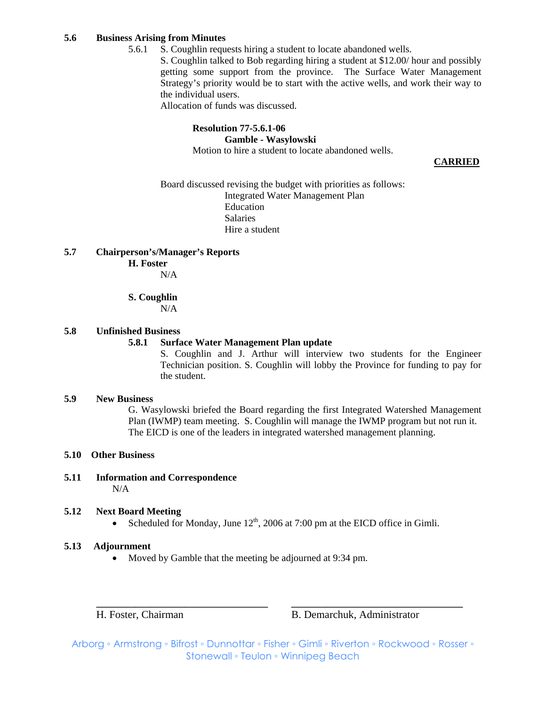#### **5.6 Business Arising from Minutes**

5.6.1 S. Coughlin requests hiring a student to locate abandoned wells.

S. Coughlin talked to Bob regarding hiring a student at \$12.00/ hour and possibly getting some support from the province. The Surface Water Management Strategy's priority would be to start with the active wells, and work their way to the individual users.

Allocation of funds was discussed.

#### **Resolution 77-5.6.1-06 Gamble - Wasylowski** Motion to hire a student to locate abandoned wells.

**CARRIED**

Board discussed revising the budget with priorities as follows: Integrated Water Management Plan Education Salaries Hire a student

#### **5.7 Chairperson's/Manager's Reports**

## **H. Foster**

N/A

## **S. Coughlin**

N/A

#### **5.8 Unfinished Business**

## **5.8.1 Surface Water Management Plan update**

S. Coughlin and J. Arthur will interview two students for the Engineer Technician position. S. Coughlin will lobby the Province for funding to pay for the student.

#### **5.9 New Business**

G. Wasylowski briefed the Board regarding the first Integrated Watershed Management Plan (IWMP) team meeting. S. Coughlin will manage the IWMP program but not run it. The EICD is one of the leaders in integrated watershed management planning.

#### **5.10 Other Business**

**5.11 Information and Correspondence**  N/A

#### **5.12 Next Board Meeting**

• Scheduled for Monday, June  $12<sup>th</sup>$ , 2006 at 7:00 pm at the EICD office in Gimli.

#### **5.13 Adjournment**

• Moved by Gamble that the meeting be adjourned at 9:34 pm.

H. Foster, Chairman B. Demarchuk, Administrator

Arborg ◦ Armstrong ◦ Bifrost ◦ Dunnottar ◦ Fisher ◦ Gimli ◦ Riverton ◦ Rockwood ◦ Rosser ◦ Stonewall ◦ Teulon ◦ Winnipeg Beach

**\_\_\_\_\_\_\_\_\_\_\_\_\_\_\_\_\_\_\_\_\_\_\_\_\_\_\_\_\_\_\_\_\_\_\_ \_\_\_\_\_\_\_\_\_\_\_\_\_\_\_\_\_\_\_\_\_\_\_\_\_\_\_\_\_\_\_\_\_\_\_**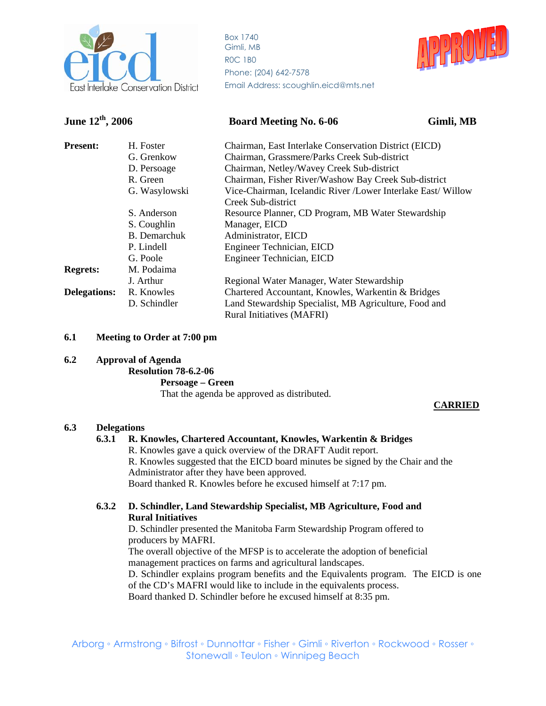

Box 1740 Gimli, MB R0C 1B0 Phone: (204) 642-7578 Email Address: scoughlin.eicd@mts.net



# **June 12<sup>th</sup>, 2006 Board Meeting No. 6-06** Gimli, MB

| <b>Present:</b>     | H. Foster     | Chairman, East Interlake Conservation District (EICD)        |
|---------------------|---------------|--------------------------------------------------------------|
|                     | G. Grenkow    | Chairman, Grassmere/Parks Creek Sub-district                 |
|                     | D. Persoage   | Chairman, Netley/Wavey Creek Sub-district                    |
|                     | R. Green      | Chairman, Fisher River/Washow Bay Creek Sub-district         |
|                     | G. Wasylowski | Vice-Chairman, Icelandic River /Lower Interlake East/ Willow |
|                     |               | Creek Sub-district                                           |
|                     | S. Anderson   | Resource Planner, CD Program, MB Water Stewardship           |
|                     | S. Coughlin   | Manager, EICD                                                |
|                     | B. Demarchuk  | Administrator, EICD                                          |
|                     | P. Lindell    | Engineer Technician, EICD                                    |
|                     | G. Poole      | Engineer Technician, EICD                                    |
| <b>Regrets:</b>     | M. Podaima    |                                                              |
|                     | J. Arthur     | Regional Water Manager, Water Stewardship                    |
| <b>Delegations:</b> | R. Knowles    | Chartered Accountant, Knowles, Warkentin & Bridges           |
|                     | D. Schindler  | Land Stewardship Specialist, MB Agriculture, Food and        |
|                     |               | <b>Rural Initiatives (MAFRI)</b>                             |

## **6.1 Meeting to Order at 7:00 pm**

#### **6.2 Approval of Agenda**

 **Resolution 78-6.2-06** 

 **Persoage – Green**

That the agenda be approved as distributed.

#### **CARRIED**

#### **6.3 Delegations**

## **6.3.1 R. Knowles, Chartered Accountant, Knowles, Warkentin & Bridges**

R. Knowles gave a quick overview of the DRAFT Audit report.

 R. Knowles suggested that the EICD board minutes be signed by the Chair and the Administrator after they have been approved.

Board thanked R. Knowles before he excused himself at 7:17 pm.

## **6.3.2 D. Schindler, Land Stewardship Specialist, MB Agriculture, Food and Rural Initiatives**

D. Schindler presented the Manitoba Farm Stewardship Program offered to producers by MAFRI.

 The overall objective of the MFSP is to accelerate the adoption of beneficial management practices on farms and agricultural landscapes.

D. Schindler explains program benefits and the Equivalents program. The EICD is one of the CD's MAFRI would like to include in the equivalents process.

Board thanked D. Schindler before he excused himself at 8:35 pm.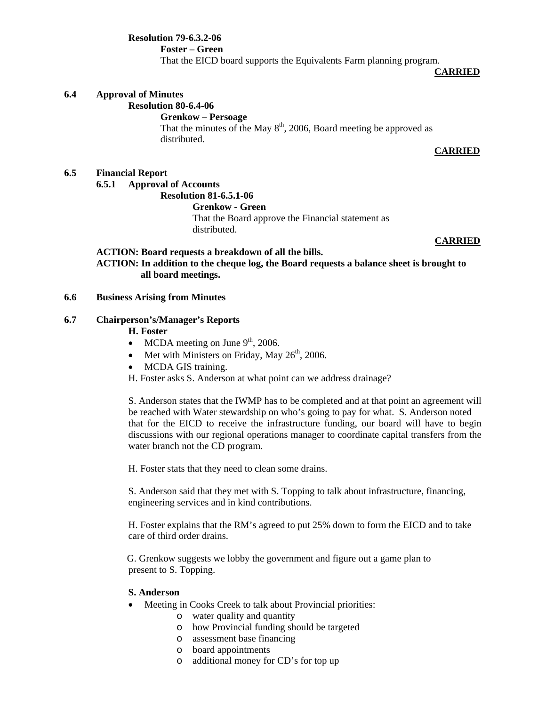**Resolution 79-6.3.2-06 Foster – Green**  That the EICD board supports the Equivalents Farm planning program.

**CARRIED**

#### **6.4 Approval of Minutes**

#### **Resolution 80-6.4-06**

#### **Grenkow – Persoage**

That the minutes of the May  $8<sup>th</sup>$ , 2006, Board meeting be approved as distributed.

#### **CARRIED**

## **6.5 Financial Report**

**6.5.1 Approval of Accounts** 

#### **Resolution 81-6.5.1-06**

 **Grenkow - Green** 

That the Board approve the Financial statement as distributed.

#### **CARRIED**

#### **ACTION: Board requests a breakdown of all the bills. ACTION: In addition to the cheque log, the Board requests a balance sheet is brought to all board meetings.**

#### **6.6 Business Arising from Minutes**

#### **6.7 Chairperson's/Manager's Reports**

#### **H. Foster**

- MCDA meeting on June  $9<sup>th</sup>$ , 2006.
- Met with Ministers on Friday, May  $26<sup>th</sup>$ , 2006.
- MCDA GIS training.

H. Foster asks S. Anderson at what point can we address drainage?

 S. Anderson states that the IWMP has to be completed and at that point an agreement will be reached with Water stewardship on who's going to pay for what. S. Anderson noted that for the EICD to receive the infrastructure funding, our board will have to begin discussions with our regional operations manager to coordinate capital transfers from the water branch not the CD program.

H. Foster stats that they need to clean some drains.

S. Anderson said that they met with S. Topping to talk about infrastructure, financing, engineering services and in kind contributions.

 H. Foster explains that the RM's agreed to put 25% down to form the EICD and to take care of third order drains.

 G. Grenkow suggests we lobby the government and figure out a game plan to present to S. Topping.

#### **S. Anderson**

- Meeting in Cooks Creek to talk about Provincial priorities:
	- o water quality and quantity
	- o how Provincial funding should be targeted
	- o assessment base financing
	- o board appointments
	- o additional money for CD's for top up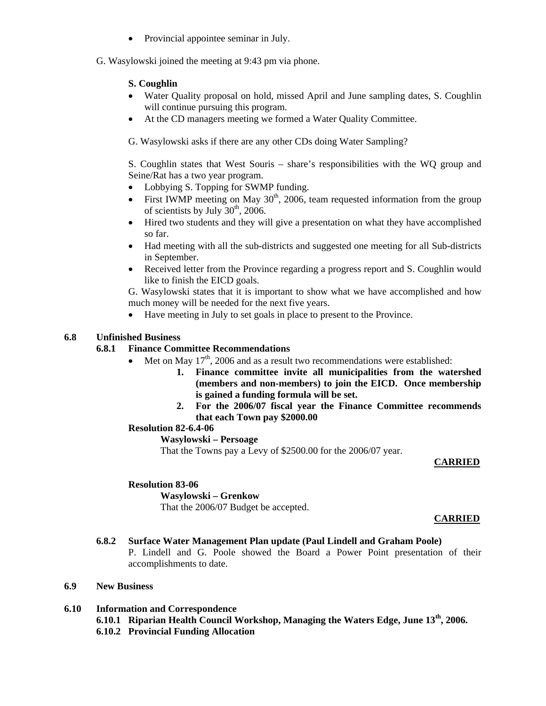- Provincial appointee seminar in July.
- G. Wasylowski joined the meeting at 9:43 pm via phone.

## **S. Coughlin**

- Water Quality proposal on hold, missed April and June sampling dates, S. Coughlin will continue pursuing this program.
- At the CD managers meeting we formed a Water Quality Committee.

G. Wasylowski asks if there are any other CDs doing Water Sampling?

S. Coughlin states that West Souris – share's responsibilities with the WQ group and Seine/Rat has a two year program.

- Lobbying S. Topping for SWMP funding.
- First IWMP meeting on May  $30<sup>th</sup>$ , 2006, team requested information from the group of scientists by July  $30<sup>th</sup>$ , 2006.
- Hired two students and they will give a presentation on what they have accomplished so far.
- Had meeting with all the sub-districts and suggested one meeting for all Sub-districts in September.
- Received letter from the Province regarding a progress report and S. Coughlin would like to finish the EICD goals.

G. Wasylowski states that it is important to show what we have accomplished and how much money will be needed for the next five years.

• Have meeting in July to set goals in place to present to the Province.

## **6.8 Unfinished Business**

#### **6.8.1 Finance Committee Recommendations**

- Met on May  $17<sup>th</sup>$ , 2006 and as a result two recommendations were established:
	- **1. Finance committee invite all municipalities from the watershed (members and non-members) to join the EICD. Once membership is gained a funding formula will be set.**
	- **2. For the 2006/07 fiscal year the Finance Committee recommends that each Town pay \$2000.00**

## **Resolution 82-6.4-06**

#### **Wasylowski – Persoage**

That the Towns pay a Levy of \$2500.00 for the 2006/07 year.

#### **CARRIED**

#### **Resolution 83-06**

#### **Wasylowski – Grenkow**

That the 2006/07 Budget be accepted.

#### **CARRIED**

## **6.8.2 Surface Water Management Plan update (Paul Lindell and Graham Poole)**

P. Lindell and G. Poole showed the Board a Power Point presentation of their accomplishments to date.

#### **6.9 New Business**

- **6.10 Information and Correspondence** 
	- **6.10.1 Riparian Health Council Workshop, Managing the Waters Edge, June 13th, 2006.**
	- **6.10.2 Provincial Funding Allocation**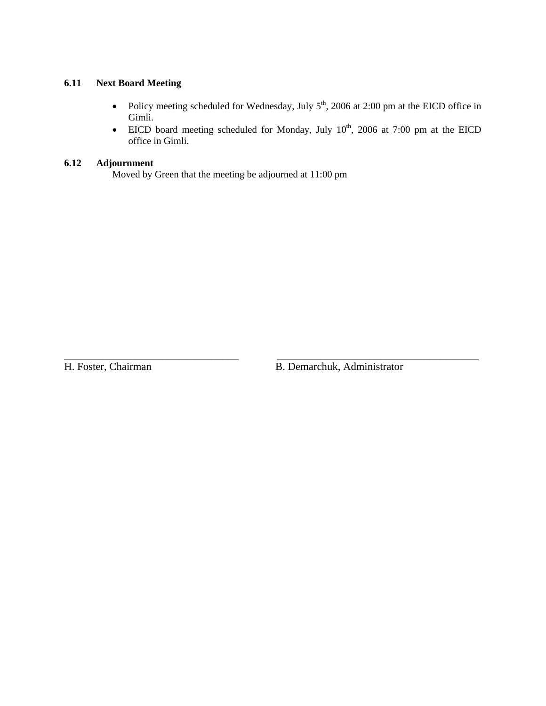## **6.11 Next Board Meeting**

- Policy meeting scheduled for Wednesday, July  $5<sup>th</sup>$ , 2006 at 2:00 pm at the EICD office in Gimli.
- EICD board meeting scheduled for Monday, July  $10^{th}$ , 2006 at 7:00 pm at the EICD office in Gimli.

\_\_\_\_\_\_\_\_\_\_\_\_\_\_\_\_\_\_\_\_\_\_\_\_\_\_\_\_\_\_\_\_ \_\_\_\_\_\_\_\_\_\_\_\_\_\_\_\_\_\_\_\_\_\_\_\_\_\_\_\_\_\_\_\_\_\_\_\_\_

## **6.12 Adjournment**

Moved by Green that the meeting be adjourned at 11:00 pm

H. Foster, Chairman B. Demarchuk, Administrator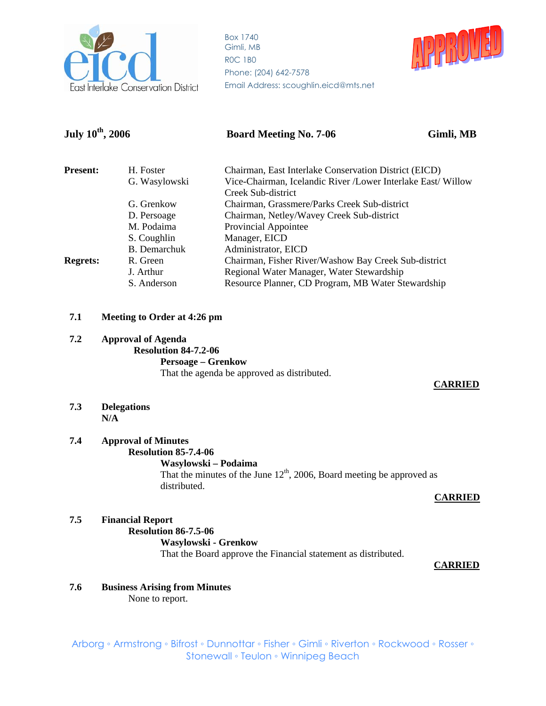

Box 1740 Gimli, MB R0C 1B0 Phone: (204) 642-7578 Email Address: scoughlin.eicd@mts.net



| July $10^{th}$ , 2006     |                     | <b>Board Meeting No. 7-06</b><br>Gimli, MB                                                |  |  |
|---------------------------|---------------------|-------------------------------------------------------------------------------------------|--|--|
| <b>Present:</b>           | H. Foster           | Chairman, East Interlake Conservation District (EICD)                                     |  |  |
|                           | G. Wasylowski       | Vice-Chairman, Icelandic River /Lower Interlake East/ Willow<br>Creek Sub-district        |  |  |
| G. Grenkow<br>D. Persoage |                     | Chairman, Grassmere/Parks Creek Sub-district<br>Chairman, Netley/Wavey Creek Sub-district |  |  |
|                           |                     |                                                                                           |  |  |
|                           | S. Coughlin         | Manager, EICD                                                                             |  |  |
|                           | <b>B.</b> Demarchuk | Administrator, EICD                                                                       |  |  |
| <b>Regrets:</b>           | R. Green            | Chairman, Fisher River/Washow Bay Creek Sub-district                                      |  |  |
|                           | J. Arthur           | Regional Water Manager, Water Stewardship                                                 |  |  |
|                           | S. Anderson         | Resource Planner, CD Program, MB Water Stewardship                                        |  |  |

#### **7.1 Meeting to Order at 4:26 pm**

## **7.2 Approval of Agenda Resolution 84-7.2-06 Persoage – Grenkow** That the agenda be approved as distributed.

#### **CARRIED**

**7.3 Delegations N/A** 

#### **7.4 Approval of Minutes Resolution 85-7.4-06**

# **Wasylowski – Podaima**

That the minutes of the June  $12<sup>th</sup>$ , 2006, Board meeting be approved as distributed.

#### **CARRIED**

#### **7.5 Financial Report Resolution 86-7.5-06 Wasylowski - Grenkow** That the Board approve the Financial statement as distributed.

#### **CARRIED**

## **7.6 Business Arising from Minutes**

None to report.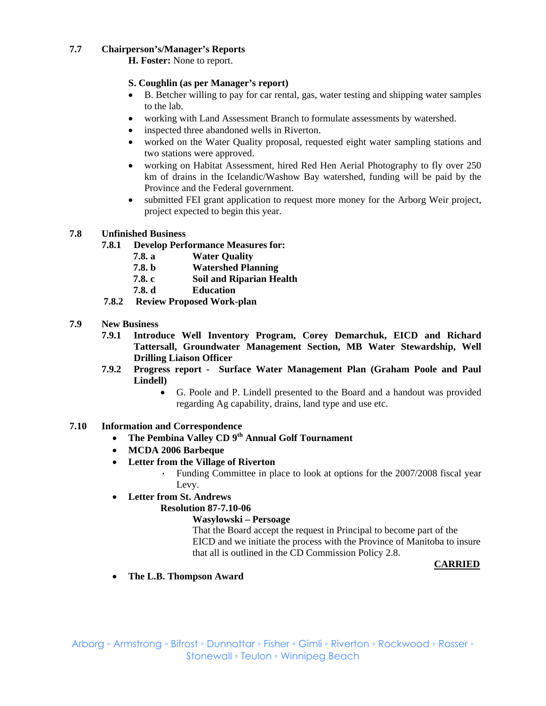## **7.7 Chairperson's/Manager's Reports**

**H. Foster:** None to report.

## **S. Coughlin (as per Manager's report)**

- B. Betcher willing to pay for car rental, gas, water testing and shipping water samples to the lab.
- working with Land Assessment Branch to formulate assessments by watershed.
- inspected three abandoned wells in Riverton.
- worked on the Water Quality proposal, requested eight water sampling stations and two stations were approved.
- working on Habitat Assessment, hired Red Hen Aerial Photography to fly over 250 km of drains in the Icelandic/Washow Bay watershed, funding will be paid by the Province and the Federal government.
- submitted FEI grant application to request more money for the Arborg Weir project, project expected to begin this year.

## **7.8 Unfinished Business**

- **7.8.1 Develop Performance Measures for:** 
	- **7.8. a Water Quality**
	- **7.8. b Watershed Planning**
	- **7.8. c Soil and Riparian Health**
	- **7.8. d Education**
- **7.8.2 Review Proposed Work-plan**
- **7.9 New Business** 
	- **7.9.1 Introduce Well Inventory Program, Corey Demarchuk, EICD and Richard Tattersall, Groundwater Management Section, MB Water Stewardship, Well Drilling Liaison Officer**
	- **7.9.2 Progress report Surface Water Management Plan (Graham Poole and Paul Lindell)** 
		- G. Poole and P. Lindell presented to the Board and a handout was provided regarding Ag capability, drains, land type and use etc.

## **7.10 Information and Correspondence**

- **The Pembina Valley CD 9th Annual Golf Tournament**
- **MCDA 2006 Barbeque**
- **Letter from the Village of Riverton** 
	- · Funding Committee in place to look at options for the 2007/2008 fiscal year Levy.
- **Letter from St. Andrews**

## **Resolution 87-7.10-06**

## **Wasylowski – Persoage**

That the Board accept the request in Principal to become part of the EICD and we initiate the process with the Province of Manitoba to insure that all is outlined in the CD Commission Policy 2.8.

## **CARRIED**

• **The L.B. Thompson Award**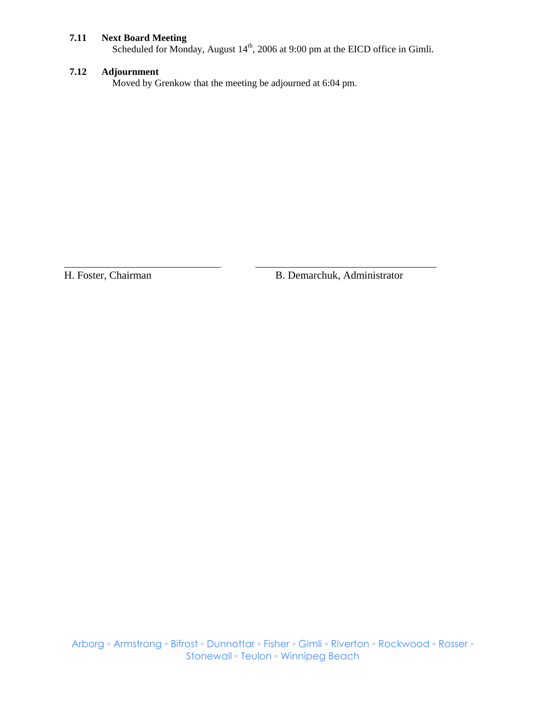#### **7.11 Next Board Meeting**

Scheduled for Monday, August  $14<sup>th</sup>$ , 2006 at 9:00 pm at the EICD office in Gimli.

## **7.12 Adjournment**

Moved by Grenkow that the meeting be adjourned at 6:04 pm.

\_\_\_\_\_\_\_\_\_\_\_\_\_\_\_\_\_\_\_\_\_\_\_\_\_\_\_\_\_\_\_\_ \_\_\_\_\_\_\_\_\_\_\_\_\_\_\_\_\_\_\_\_\_\_\_\_\_\_\_\_\_\_\_\_\_\_\_\_\_

H. Foster, Chairman B. Demarchuk, Administrator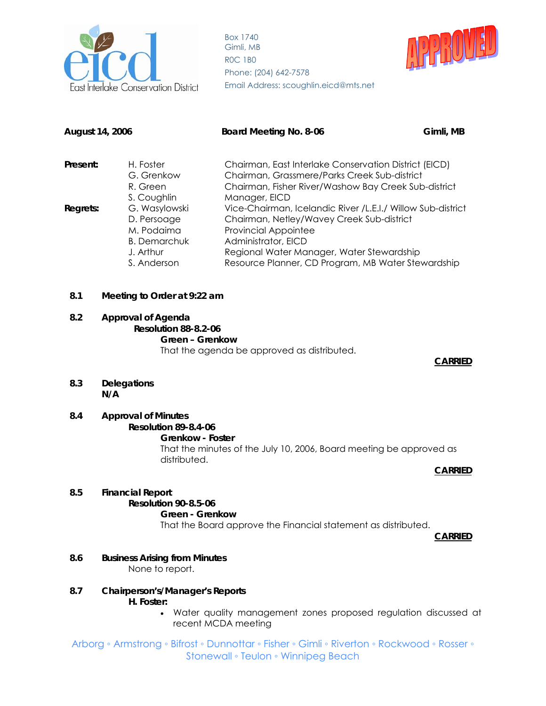

Box 1740 Gimli, MB R0C 1B0 Phone: (204) 642-7578 Email Address: scoughlin.eicd@mts.net



| August 14, 2006                                                                                           |                         | Board Meeting No. 8-06                                                                                                                                         | Gimli, MB |  |  |
|-----------------------------------------------------------------------------------------------------------|-------------------------|----------------------------------------------------------------------------------------------------------------------------------------------------------------|-----------|--|--|
| H. Foster<br>Present:<br>G. Grenkow                                                                       |                         | Chairman, East Interlake Conservation District (EICD)<br>Chairman, Grassmere/Parks Creek Sub-district                                                          |           |  |  |
|                                                                                                           | R. Green<br>S. Coughlin | Chairman, Fisher River/Washow Bay Creek Sub-district<br>Manager, EICD                                                                                          |           |  |  |
| G. Wasylowski<br>Regrets:<br>D. Persoage<br>M. Podaima<br><b>B.</b> Demarchuk<br>J. Arthur<br>S. Anderson |                         | Vice-Chairman, Icelandic River /L.E.I./ Willow Sub-district<br>Chairman, Netley/Wavey Creek Sub-district<br><b>Provincial Appointee</b><br>Administrator, EICD |           |  |  |
|                                                                                                           |                         | Regional Water Manager, Water Stewardship<br>Resource Planner, CD Program, MB Water Stewardship                                                                |           |  |  |

#### **8.1 Meeting to Order at 9:22 am**

#### **8.2 Approval of Agenda Resolution 88-8.2-06 Green – Grenkow** That the agenda be approved as distributed. **CARRIED**

**8.3 Delegations N/A** 

## **8.4 Approval of Minutes**

## **Resolution 89-8.4-06**

**Grenkow - Foster** 

That the minutes of the July 10, 2006, Board meeting be approved as distributed.

#### **CARRIED**

## **8.5 Financial Report**

#### **Resolution 90-8.5-06**

#### **Green - Grenkow**

That the Board approve the Financial statement as distributed.

**CARRIED** 

- **8.6 Business Arising from Minutes**  None to report.
- **8.7 Chairperson's/Manager's Reports** 
	- **H. Foster:**
		- Water quality management zones proposed regulation discussed at recent MCDA meeting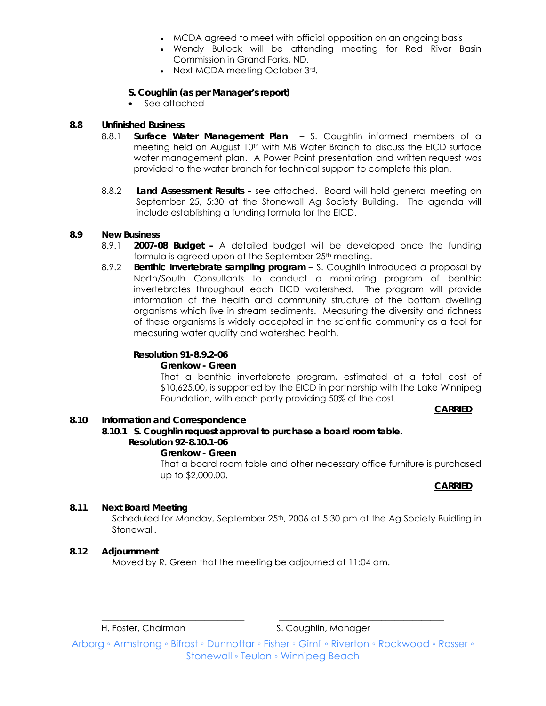- MCDA agreed to meet with official opposition on an ongoing basis
- Wendy Bullock will be attending meeting for Red River Basin Commission in Grand Forks, ND.
- Next MCDA meeting October 3rd.

## **S. Coughlin (as per Manager's report)**

• See attached

## **8.8 Unfinished Business**

- 8.8.1 **Surface Water Management Plan**  S. Coughlin informed members of a meeting held on August 10<sup>th</sup> with MB Water Branch to discuss the EICD surface water management plan. A Power Point presentation and written request was provided to the water branch for technical support to complete this plan.
- 8.8.2 **Land Assessment Results** see attached. Board will hold general meeting on September 25, 5:30 at the Stonewall Ag Society Building. The agenda will include establishing a funding formula for the EICD.

## **8.9 New Business**

- 8.9.1 **2007-08 Budget** A detailed budget will be developed once the funding formula is agreed upon at the September 25<sup>th</sup> meeting.
- 8.9.2 **Benthic Invertebrate sampling program**  S. Coughlin introduced a proposal by North/South Consultants to conduct a monitoring program of benthic invertebrates throughout each EICD watershed. The program will provide information of the health and community structure of the bottom dwelling organisms which live in stream sediments. Measuring the diversity and richness of these organisms is widely accepted in the scientific community as a tool for measuring water quality and watershed health.

### **Resolution 91-8.9.2-06**

#### **Grenkow - Green**

That a benthic invertebrate program, estimated at a total cost of \$10,625.00, is supported by the EICD in partnership with the Lake Winnipeg Foundation, with each party providing 50% of the cost.

#### **CARRIED**

#### **8.10 Information and Correspondence**

## **8.10.1 S. Coughlin request approval to purchase a board room table.**

# **Resolution 92-8.10.1-06**

#### **Grenkow - Green**

That a board room table and other necessary office furniture is purchased up to \$2,000.00.

## **CARRIED**

## **8.11 Next Board Meeting**

Scheduled for Monday, September 25<sup>th</sup>, 2006 at 5:30 pm at the Ag Society Buidling in Stonewall.

#### **8.12 Adjournment**

Moved by R. Green that the meeting be adjourned at 11:04 am.

H. Foster, Chairman S. Coughlin, Manager

Arborg ◦ Armstrong ◦ Bifrost ◦ Dunnottar ◦ Fisher ◦ Gimli ◦ Riverton ◦ Rockwood ◦ Rosser ◦ Stonewall ◦ Teulon ◦ Winnipeg Beach

\_\_\_\_\_\_\_\_\_\_\_\_\_\_\_\_\_\_\_\_\_\_\_\_\_\_\_\_\_\_\_\_ \_\_\_\_\_\_\_\_\_\_\_\_\_\_\_\_\_\_\_\_\_\_\_\_\_\_\_\_\_\_\_\_\_\_\_\_\_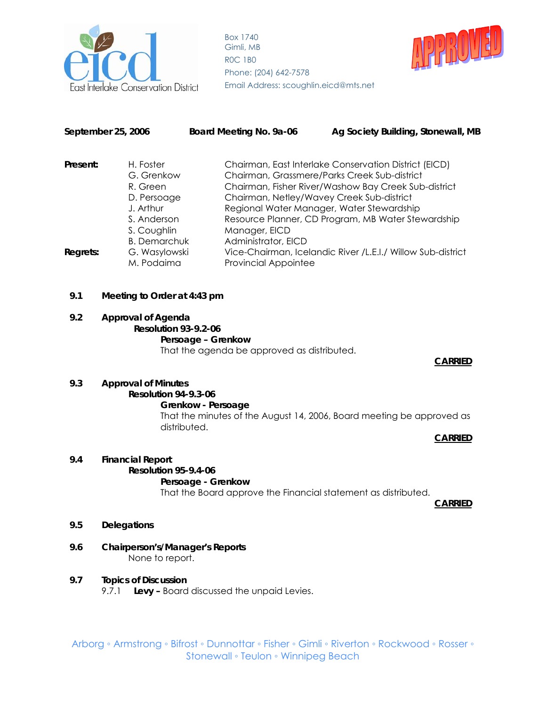

Box 1740 Gimli, MB R0C 1B0 Phone: (204) 642-7578 Email Address: scoughlin.eicd@mts.net



| September 25, 2006                                             |               | Board Meeting No. 9a-06                      | Ag Society Building, Stonewall, MB                          |  |  |
|----------------------------------------------------------------|---------------|----------------------------------------------|-------------------------------------------------------------|--|--|
| Present:                                                       | H. Foster     |                                              | Chairman, East Interlake Conservation District (EICD)       |  |  |
|                                                                | G. Grenkow    | Chairman, Grassmere/Parks Creek Sub-district |                                                             |  |  |
|                                                                | R. Green      |                                              | Chairman, Fisher River/Washow Bay Creek Sub-district        |  |  |
|                                                                | D. Persoage   |                                              | Chairman, Netley/Wavey Creek Sub-district                   |  |  |
| J. Arthur<br>S. Anderson<br>S. Coughlin<br><b>B.</b> Demarchuk |               |                                              | Regional Water Manager, Water Stewardship                   |  |  |
|                                                                |               |                                              | Resource Planner, CD Program, MB Water Stewardship          |  |  |
|                                                                |               | Manager, EICD                                |                                                             |  |  |
|                                                                |               | Administrator, EICD                          |                                                             |  |  |
| Regrets:                                                       | G. Wasylowski |                                              | Vice-Chairman, Icelandic River /L.E.I./ Willow Sub-district |  |  |
|                                                                | M. Podaima    | <b>Provincial Appointee</b>                  |                                                             |  |  |

#### **9.1 Meeting to Order at 4:43 pm**

#### **9.2 Approval of Agenda Resolution 93-9.2-06 Persoage – Grenkow** That the agenda be approved as distributed. **CARRIED**

## **9.3 Approval of Minutes Resolution 94-9.3-06**

#### **Grenkow - Persoage**

That the minutes of the August 14, 2006, Board meeting be approved as distributed.

**CARRIED** 

#### **9.4 Financial Report**

# **Resolution 95-9.4-06**

## **Persoage - Grenkow**

That the Board approve the Financial statement as distributed.

**CARRIED** 

#### **9.5 Delegations**

#### **9.6 Chairperson's/Manager's Reports**  None to report.

#### **9.7 Topics of Discussion**

9.7.1 **Levy –** Board discussed the unpaid Levies.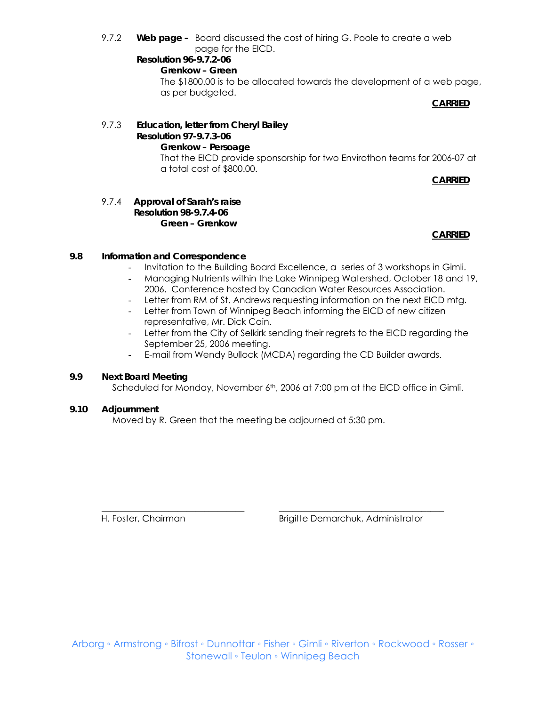9.7.2 **Web page –** Board discussed the cost of hiring G. Poole to create a web page for the EICD.

#### **Resolution 96-9.7.2-06 Grenkow – Green**

The \$1800.00 is to be allocated towards the development of a web page, as per budgeted.

**CARRIED**

#### 9.7.3 **Education, letter from Cheryl Bailey Resolution 97-9.7.3-06 Grenkow – Persoage**  That the EICD provide sponsorship for two Envirothon teams for 2006-07 at a total cost of \$800.00.

**CARRIED**

#### 9.7.4 **Approval of Sarah's raise Resolution 98-9.7.4-06 Green – Grenkow**

## **CARRIED**

## **9.8 Information and Correspondence**

- Invitation to the Building Board Excellence, a series of 3 workshops in Gimli.
- Managing Nutrients within the Lake Winnipeg Watershed, October 18 and 19, 2006. Conference hosted by Canadian Water Resources Association.
- Letter from RM of St. Andrews requesting information on the next EICD mtg.
- Letter from Town of Winnipeg Beach informing the EICD of new citizen representative, Mr. Dick Cain.
- Letter from the City of Selkirk sending their regrets to the EICD regarding the September 25, 2006 meeting.
- E-mail from Wendy Bullock (MCDA) regarding the CD Builder awards.

#### **9.9 Next Board Meeting**

Scheduled for Monday, November 6<sup>th</sup>, 2006 at 7:00 pm at the EICD office in Gimli.

#### **9.10 Adjournment**

Moved by R. Green that the meeting be adjourned at 5:30 pm.

\_\_\_\_\_\_\_\_\_\_\_\_\_\_\_\_\_\_\_\_\_\_\_\_\_\_\_\_\_\_\_\_ \_\_\_\_\_\_\_\_\_\_\_\_\_\_\_\_\_\_\_\_\_\_\_\_\_\_\_\_\_\_\_\_\_\_\_\_\_ H. Foster, Chairman Brigitte Demarchuk, Administrator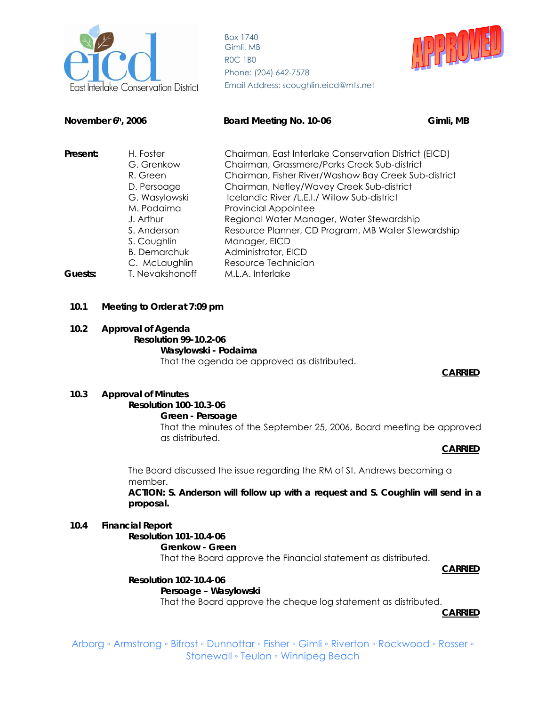

Box 1740 Gimli, MB R0C 1B0 Phone: (204) 642-7578 Email Address: scoughlin.eicd@mts.net



| November 6h, 2006          |                                                                                                                                                                      | Board Meeting No. 10-06<br>Gimli, MB                                                                                                                                                                                                                                                                                                                                                                                                                        |  |
|----------------------------|----------------------------------------------------------------------------------------------------------------------------------------------------------------------|-------------------------------------------------------------------------------------------------------------------------------------------------------------------------------------------------------------------------------------------------------------------------------------------------------------------------------------------------------------------------------------------------------------------------------------------------------------|--|
| Present:                   | H. Foster<br>G. Grenkow<br>R. Green<br>D. Persoage<br>G. Wasylowski<br>M. Podaima<br>J. Arthur<br>S. Anderson<br>S. Coughlin<br><b>B.</b> Demarchuk<br>C. McLaughlin | Chairman, East Interlake Conservation District (EICD)<br>Chairman, Grassmere/Parks Creek Sub-district<br>Chairman, Fisher River/Washow Bay Creek Sub-district<br>Chairman, Netley/Wavey Creek Sub-district<br>Icelandic River /L.E.I./ Willow Sub-district<br><b>Provincial Appointee</b><br>Regional Water Manager, Water Stewardship<br>Resource Planner, CD Program, MB Water Stewardship<br>Manager, EICD<br>Administrator, EICD<br>Resource Technician |  |
| T. Nevakshonoff<br>Guests: |                                                                                                                                                                      | M.L.A. Interlake                                                                                                                                                                                                                                                                                                                                                                                                                                            |  |

#### **10.1 Meeting to Order at 7:09 pm**

#### **10.2 Approval of Agenda**

## **Resolution 99-10.2-06**

#### **Wasylowski - Podaima**

That the agenda be approved as distributed.

#### **CARRIED**

#### **10.3 Approval of Minutes**

#### **Resolution 100-10.3-06**

**Green - Persoage** 

That the minutes of the September 25, 2006, Board meeting be approved as distributed.

#### **CARRIED 2016 19:30 19:30 19:30 19:30 19:30 19:30 19:30 19:30 19:30 19:30 19:30 19:30 19:30 19:30 19:30 19:30**

The Board discussed the issue regarding the RM of St. Andrews becoming a member.

**ACTION: S. Anderson will follow up with a request and S. Coughlin will send in a proposal.** 

#### **10.4 Financial Report**

 **Resolution 101-10.4-06 Grenkow - Green** That the Board approve the Financial statement as distributed.

#### **CARRIED**

## **Resolution 102-10.4-06**

#### **Persoage – Wasylowski**

That the Board approve the cheque log statement as distributed.

**CARRIED**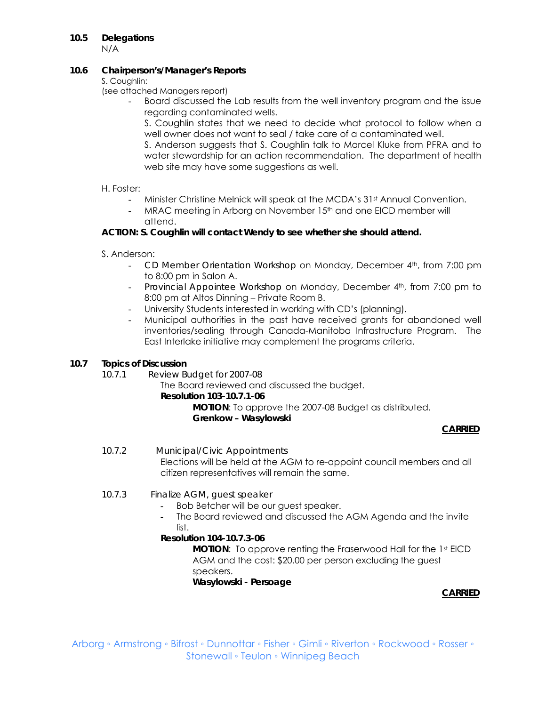## **10.5 Delegations**

N/A

#### **10.6 Chairperson's/Manager's Reports**

S. Coughlin:

(see attached Managers report)

- Board discussed the Lab results from the well inventory program and the issue regarding contaminated wells.

S. Coughlin states that we need to decide what protocol to follow when a well owner does not want to seal / take care of a contaminated well.

S. Anderson suggests that S. Coughlin talk to Marcel Kluke from PFRA and to water stewardship for an action recommendation. The department of health web site may have some suggestions as well.

## H. Foster:

- Minister Christine Melnick will speak at the MCDA's 31st Annual Convention.
- MRAC meeting in Arborg on November 15<sup>th</sup> and one EICD member will attend.

## **ACTION: S. Coughlin will contact Wendy to see whether she should attend.**

- S. Anderson:
	- *CD Member Orientation Workshop* on Monday, December 4<sup>th</sup>, from 7:00 pm to 8:00 pm in Salon A.
	- *Provincial Appointee Workshop* on Monday, December 4th, from 7:00 pm to 8:00 pm at Altos Dinning – Private Room B.
	- University Students interested in working with CD's (planning).
	- Municipal authorities in the past have received grants for abandoned well inventories/sealing through Canada-Manitoba Infrastructure Program. The East Interlake initiative may complement the programs criteria.

## **10.7 Topics of Discussion**

*10.7.1 Review Budget for 2007-08* 

The Board reviewed and discussed the budget.

#### **Resolution 103-10.7.1-06**

 **MOTION**: To approve the 2007-08 Budget as distributed.

#### **Grenkow – Wasylowski**

## **CARRIED**

- *10.7.2 Municipal/Civic Appointments*  Elections will be held at the AGM to re-appoint council members and all citizen representatives will remain the same.
- *10.7.3 Finalize AGM, guest speaker* 
	- Bob Betcher will be our guest speaker.
	- The Board reviewed and discussed the AGM Agenda and the invite list.

## **Resolution 104-10.7.3-06**

**MOTION:** To approve renting the Fraserwood Hall for the 1st EICD AGM and the cost: \$20.00 per person excluding the guest speakers.

 **Wasylowski - Persoage** 

**CARRIED**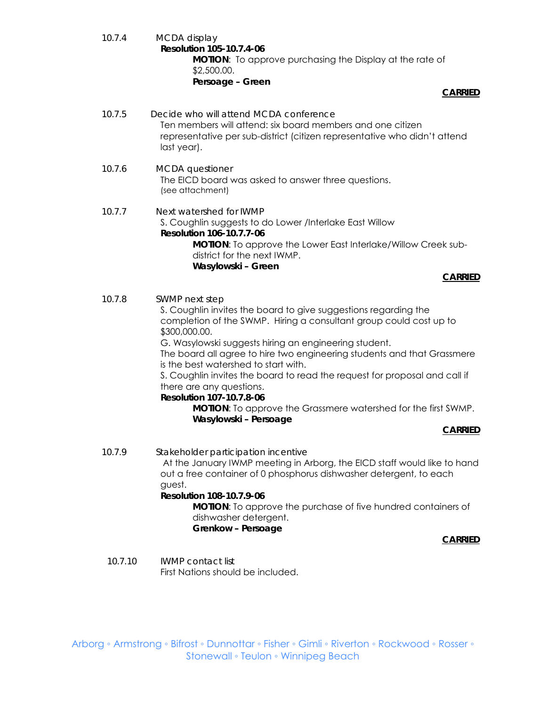*10.7.4 MCDA display* **Resolution 105-10.7.4-06 MOTION**: To approve purchasing the Display at the rate of \$2,500.00. **Persoage – Green** 

#### **CARRIED**

- *10.7.5 Decide who will attend MCDA conference*  Ten members will attend: six board members and one citizen representative per sub-district (citizen representative who didn't attend last year).
- *10.7.6 MCDA questioner*  The EICD board was asked to answer three questions. (see attachment)
- *10.7.7 Next watershed for IWMP*  S. Coughlin suggests to do Lower /Interlake East Willow **Resolution 106-10.7.7-06 MOTION**: To approve the Lower East Interlake/Willow Creek subdistrict for the next IWMP. **Wasylowski – Green**

#### **CARRIED**

*10.7.8 SWMP next step* 

S. Coughlin invites the board to give suggestions regarding the completion of the SWMP. Hiring a consultant group could cost up to \$300,000.00.

G. Wasylowski suggests hiring an engineering student.

The board all agree to hire two engineering students and that Grassmere is the best watershed to start with.

S. Coughlin invites the board to read the request for proposal and call if there are any questions.

#### **Resolution 107-10.7.8-06**

**MOTION**: To approve the Grassmere watershed for the first SWMP. **Wasylowski – Persoage** 

#### **CARRIED**

*10.7.9 Stakeholder participation incentive*  At the January IWMP meeting in Arborg, the EICD staff would like to hand out a free container of 0 phosphorus dishwasher detergent, to each guest. **Resolution 108-10.7.9-06 MOTION**: To approve the purchase of five hundred containers of dishwasher detergent. **Grenkow – Persoage** 

 **CARRIED**

 *10.7.10 IWMP contact list*  First Nations should be included.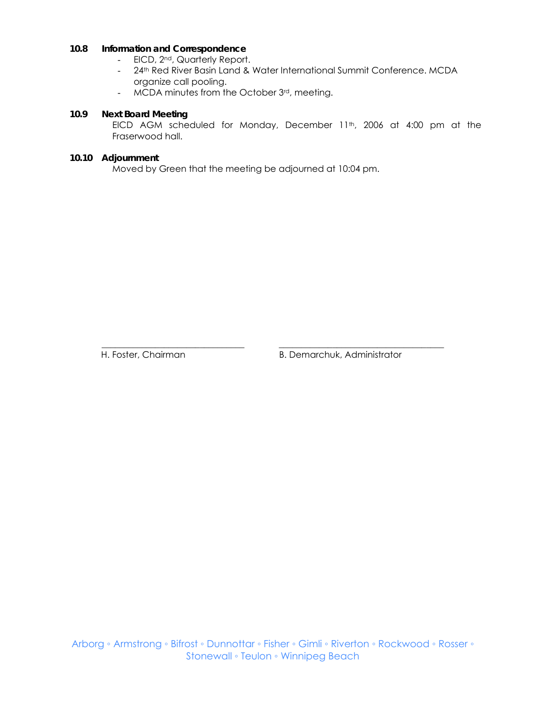## **10.8 Information and Correspondence**

- EICD, 2<sup>nd</sup>, Quarterly Report.
- 24<sup>th</sup> Red River Basin Land & Water International Summit Conference. MCDA organize call pooling.
- MCDA minutes from the October 3rd, meeting.

#### **10.9 Next Board Meeting**

EICD AGM scheduled for Monday, December 11<sup>th</sup>, 2006 at 4:00 pm at the Fraserwood hall.

#### **10.10 Adjournment**

Moved by Green that the meeting be adjourned at 10:04 pm.

\_\_\_\_\_\_\_\_\_\_\_\_\_\_\_\_\_\_\_\_\_\_\_\_\_\_\_\_\_\_\_\_ \_\_\_\_\_\_\_\_\_\_\_\_\_\_\_\_\_\_\_\_\_\_\_\_\_\_\_\_\_\_\_\_\_\_\_\_\_

H. Foster, Chairman B. Demarchuk, Administrator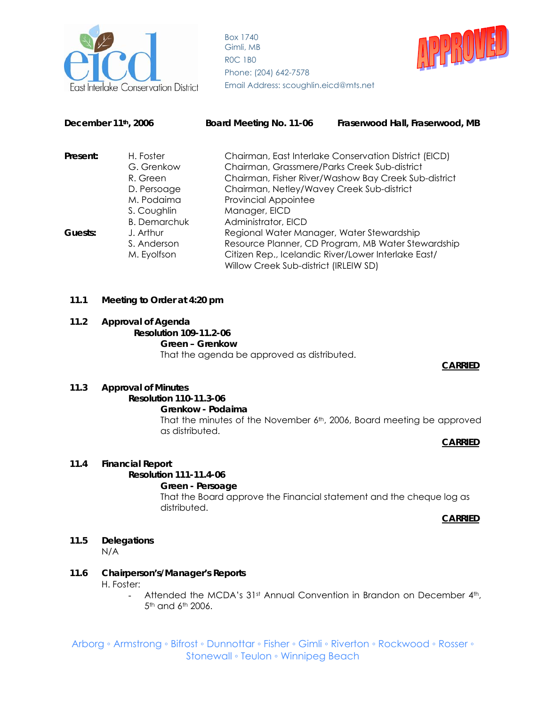

Box 1740 Gimli, MB R0C 1B0 Phone: (204) 642-7578



| December 11th, 2006                              |                         | Board Meeting No. 11-06                      | Fraserwood Hall, Fraserwood, MB                       |
|--------------------------------------------------|-------------------------|----------------------------------------------|-------------------------------------------------------|
| Present:                                         | H. Foster<br>G. Grenkow | Chairman, Grassmere/Parks Creek Sub-district | Chairman, East Interlake Conservation District (EICD) |
|                                                  | R. Green                |                                              | Chairman, Fisher River/Washow Bay Creek Sub-district  |
|                                                  | D. Persoage             | Chairman, Netley/Wavey Creek Sub-district    |                                                       |
| M. Podaima<br>S. Coughlin<br><b>B.</b> Demarchuk |                         | <b>Provincial Appointee</b>                  |                                                       |
|                                                  |                         | Manager, EICD                                |                                                       |
|                                                  |                         | Administrator, EICD                          |                                                       |
| J. Arthur<br>Guests:                             |                         | Regional Water Manager, Water Stewardship    |                                                       |
|                                                  | S. Anderson             |                                              | Resource Planner, CD Program, MB Water Stewardship    |
|                                                  | M. Eyolfson             |                                              | Citizen Rep., Icelandic River/Lower Interlake East/   |
|                                                  |                         | Willow Creek Sub-district (IRLEIW SD)        |                                                       |

#### **11.1 Meeting to Order at 4:20 pm**

#### **11.2 Approval of Agenda**

#### **Resolution 109-11.2-06 Green – Grenkow** That the agenda be approved as distributed.

#### **CARRIED 2016 19:30 SEPTEMBER 2016 19:30 SEPTEMBER 2016 19:30 SEPTEMBER 2016 19:30 SEPTEMBER 2016 19:30 SEPTEMBER**

#### **11.3 Approval of Minutes**

# **Resolution 110-11.3-06**

#### **Grenkow - Podaima**

That the minutes of the November 6<sup>th</sup>, 2006, Board meeting be approved as distributed.

#### **CARRIED 2016 19:30 19:30 19:30 19:30 19:30 19:30 19:30 19:30 19:30 19:30 19:30 19:30 19:30 19:30 19:30 19:30**

#### **11.4 Financial Report**

#### **Resolution 111-11.4-06**

#### **Green - Persoage**

That the Board approve the Financial statement and the cheque log as distributed.

#### **CARRIED 2016 19:30 SEPTEMBER 2016 19:30 SEPTEMBER 2016 19:30 SEPTEMBER 2016 19:30 SEPTEMBER 20:30 SEPTEMBER 20:30 SEPTEMBER 20:30 SEPTEMBER 20:30 SEPTEMBER 20:30 SEPTEMBER 20:30 SEPTEMBER 20:30 SEPTEMBER 20:30 SEPTEMBER 2**

#### **11.5 Delegations**  N/A

# **11.6 Chairperson's/Manager's Reports**

H. Foster:

- Attended the MCDA's 31<sup>st</sup> Annual Convention in Brandon on December 4<sup>th</sup>, 5th and 6th 2006.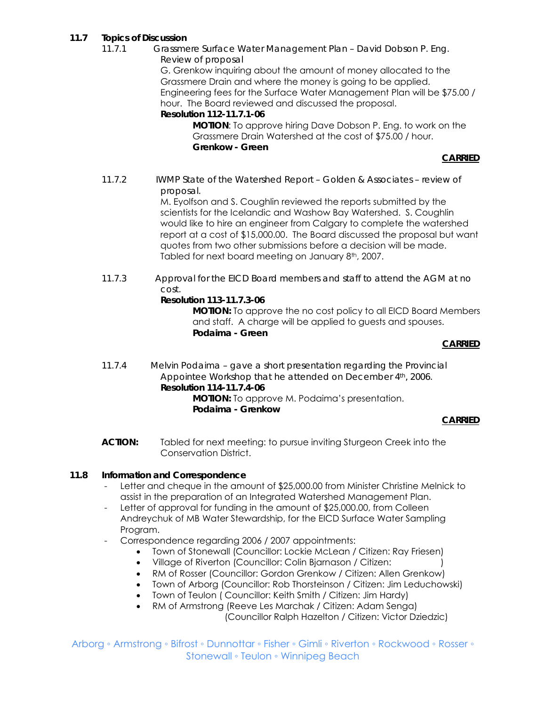## **11.7 Topics of Discussion**

*11.7.1 Grassmere Surface Water Management Plan – David Dobson P. Eng. Review of proposal* 

G. Grenkow inquiring about the amount of money allocated to the Grassmere Drain and where the money is going to be applied. Engineering fees for the Surface Water Management Plan will be \$75.00 / hour. The Board reviewed and discussed the proposal.

**Resolution 112-11.7.1-06** 

 **MOTION**: To approve hiring Dave Dobson P. Eng. to work on the Grassmere Drain Watershed at the cost of \$75.00 / hour. **Grenkow - Green**

#### **CARRIED**

*11.7.2 IWMP State of the Watershed Report – Golden & Associates – review of proposal.* 

M. Eyolfson and S. Coughlin reviewed the reports submitted by the scientists for the Icelandic and Washow Bay Watershed. S. Coughlin would like to hire an engineer from Calgary to complete the watershed report at a cost of \$15,000.00. The Board discussed the proposal but want quotes from two other submissions before a decision will be made. Tabled for next board meeting on January 8th, 2007.

*11.7.3 Approval for the EICD Board members and staff to attend the AGM at no cost.* 

#### **Resolution 113-11.7.3-06**

 **MOTION:** To approve the no cost policy to all EICD Board Members and staff. A charge will be applied to guests and spouses.  **Podaima - Green** 

#### *CARRIED*

*11.7.4 Melvin Podaima – gave a short presentation regarding the Provincial Appointee Workshop that he attended on December 4th, 2006.* **Resolution 114-11.7.4-06 MOTION:** To approve M. Podaima's presentation.  **Podaima - Grenkow**

#### **CARRIED**

**ACTION:** Tabled for next meeting: to pursue inviting Sturgeon Creek into the Conservation District.

#### **11.8 Information and Correspondence**

- Letter and cheque in the amount of \$25,000.00 from Minister Christine Melnick to assist in the preparation of an Integrated Watershed Management Plan.
- Letter of approval for funding in the amount of \$25,000.00, from Colleen Andreychuk of MB Water Stewardship, for the EICD Surface Water Sampling Program.
- Correspondence regarding 2006 / 2007 appointments:
	- Town of Stonewall (Councillor: Lockie McLean / Citizen: Ray Friesen)
	- Village of Riverton (Councillor: Colin Bjarnason / Citizen: )
	- RM of Rosser (Councillor: Gordon Grenkow / Citizen: Allen Grenkow)
	- Town of Arborg (Councillor: Rob Thorsteinson / Citizen: Jim Leduchowski)
	- Town of Teulon ( Councillor: Keith Smith / Citizen: Jim Hardy)
	- RM of Armstrong (Reeve Les Marchak / Citizen: Adam Senga) (Councillor Ralph Hazelton / Citizen: Victor Dziedzic)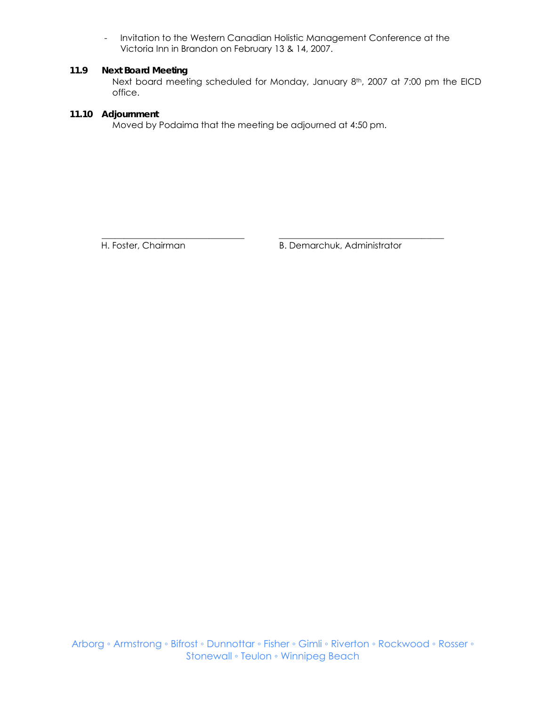- Invitation to the Western Canadian Holistic Management Conference at the Victoria Inn in Brandon on February 13 & 14, 2007.

## **11.9 Next Board Meeting**

Next board meeting scheduled for Monday, January 8th, 2007 at 7:00 pm the EICD office.

## **11.10 Adjournment**

Moved by Podaima that the meeting be adjourned at 4:50 pm.

\_\_\_\_\_\_\_\_\_\_\_\_\_\_\_\_\_\_\_\_\_\_\_\_\_\_\_\_\_\_\_\_ \_\_\_\_\_\_\_\_\_\_\_\_\_\_\_\_\_\_\_\_\_\_\_\_\_\_\_\_\_\_\_\_\_\_\_\_\_

H. Foster, Chairman B. Demarchuk, Administrator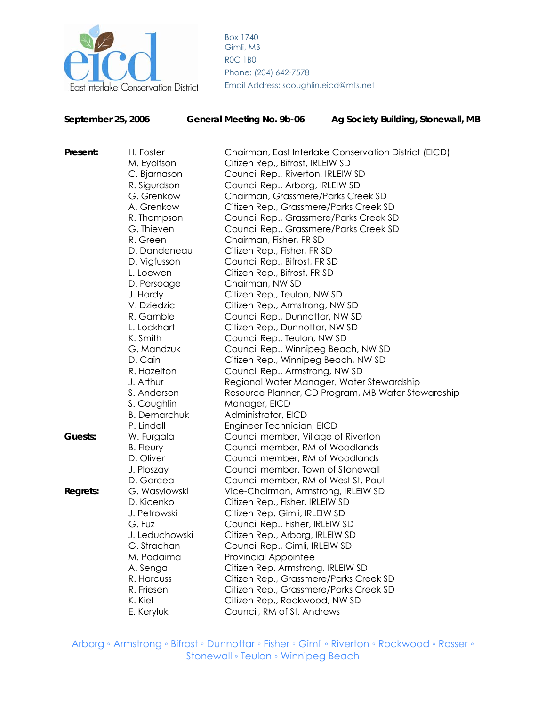

Box 1740 Gimli, MB R0C 1B0 Phone: (204) 642-7578

| September 25, 2006 |                     | <b>General Meeting No. 9b-06</b>       | Ag Society Building, Stonewall, MB                    |  |  |
|--------------------|---------------------|----------------------------------------|-------------------------------------------------------|--|--|
| Present:           | H. Foster           |                                        | Chairman, East Interlake Conservation District (EICD) |  |  |
|                    | M. Eyolfson         | Citizen Rep., Bifrost, IRLEIW SD       |                                                       |  |  |
|                    | C. Bjarnason        | Council Rep., Riverton, IRLEIW SD      |                                                       |  |  |
|                    | R. Sigurdson        | Council Rep., Arborg, IRLEIW SD        |                                                       |  |  |
|                    | G. Grenkow          | Chairman, Grassmere/Parks Creek SD     |                                                       |  |  |
|                    | A. Grenkow          | Citizen Rep., Grassmere/Parks Creek SD |                                                       |  |  |
|                    | R. Thompson         | Council Rep., Grassmere/Parks Creek SD |                                                       |  |  |
|                    | G. Thieven          | Council Rep., Grassmere/Parks Creek SD |                                                       |  |  |
|                    | R. Green            | Chairman, Fisher, FR SD                |                                                       |  |  |
|                    | D. Dandeneau        | Citizen Rep., Fisher, FR SD            |                                                       |  |  |
|                    | D. Vigfusson        | Council Rep., Bifrost, FR SD           |                                                       |  |  |
|                    | L. Loewen           | Citizen Rep., Bifrost, FR SD           |                                                       |  |  |
|                    | D. Persoage         | Chairman, NW SD                        |                                                       |  |  |
|                    | J. Hardy            | Citizen Rep., Teulon, NW SD            |                                                       |  |  |
|                    | V. Dziedzic         | Citizen Rep., Armstrong, NW SD         |                                                       |  |  |
|                    | R. Gamble           | Council Rep., Dunnottar, NW SD         |                                                       |  |  |
|                    | L. Lockhart         | Citizen Rep., Dunnottar, NW SD         |                                                       |  |  |
|                    | K. Smith            | Council Rep., Teulon, NW SD            |                                                       |  |  |
|                    | G. Mandzuk          | Council Rep., Winnipeg Beach, NW SD    |                                                       |  |  |
|                    | D. Cain             | Citizen Rep., Winnipeg Beach, NW SD    |                                                       |  |  |
|                    | R. Hazelton         | Council Rep., Armstrong, NW SD         |                                                       |  |  |
|                    | J. Arthur           |                                        | Regional Water Manager, Water Stewardship             |  |  |
|                    | S. Anderson         |                                        | Resource Planner, CD Program, MB Water Stewardship    |  |  |
|                    | S. Coughlin         | Manager, EICD                          |                                                       |  |  |
|                    | <b>B.</b> Demarchuk | Administrator, EICD                    |                                                       |  |  |
|                    | P. Lindell          | Engineer Technician, EICD              |                                                       |  |  |
| Guests:            | W. Furgala          | Council member, Village of Riverton    |                                                       |  |  |
|                    | <b>B.</b> Fleury    | Council member, RM of Woodlands        |                                                       |  |  |
|                    | D. Oliver           | Council member, RM of Woodlands        |                                                       |  |  |
|                    | J. Ploszay          | Council member, Town of Stonewall      |                                                       |  |  |
|                    | D. Garcea           | Council member, RM of West St. Paul    |                                                       |  |  |
| <b>Regrets:</b>    | G. Wasylowski       | Vice-Chairman, Armstrong, IRLEIW SD    |                                                       |  |  |
|                    | D. Kicenko          | Citizen Rep., Fisher, IRLEIW SD        |                                                       |  |  |
|                    | J. Petrowski        | Citizen Rep. Gimli, IRLEIW SD          |                                                       |  |  |
|                    | G. Fuz              | Council Rep., Fisher, IRLEIW SD        |                                                       |  |  |
|                    | J. Leduchowski      | Citizen Rep., Arborg, IRLEIW SD        |                                                       |  |  |
|                    | G. Strachan         | Council Rep., Gimli, IRLEIW SD         |                                                       |  |  |
|                    | M. Podaima          | Provincial Appointee                   |                                                       |  |  |
|                    | A. Senga            | Citizen Rep. Armstrong, IRLEIW SD      |                                                       |  |  |
|                    | R. Harcuss          | Citizen Rep., Grassmere/Parks Creek SD |                                                       |  |  |
|                    | R. Friesen          | Citizen Rep., Grassmere/Parks Creek SD |                                                       |  |  |
|                    | K. Kiel             | Citizen Rep., Rockwood, NW SD          |                                                       |  |  |
|                    | E. Keryluk          | Council, RM of St. Andrews             |                                                       |  |  |